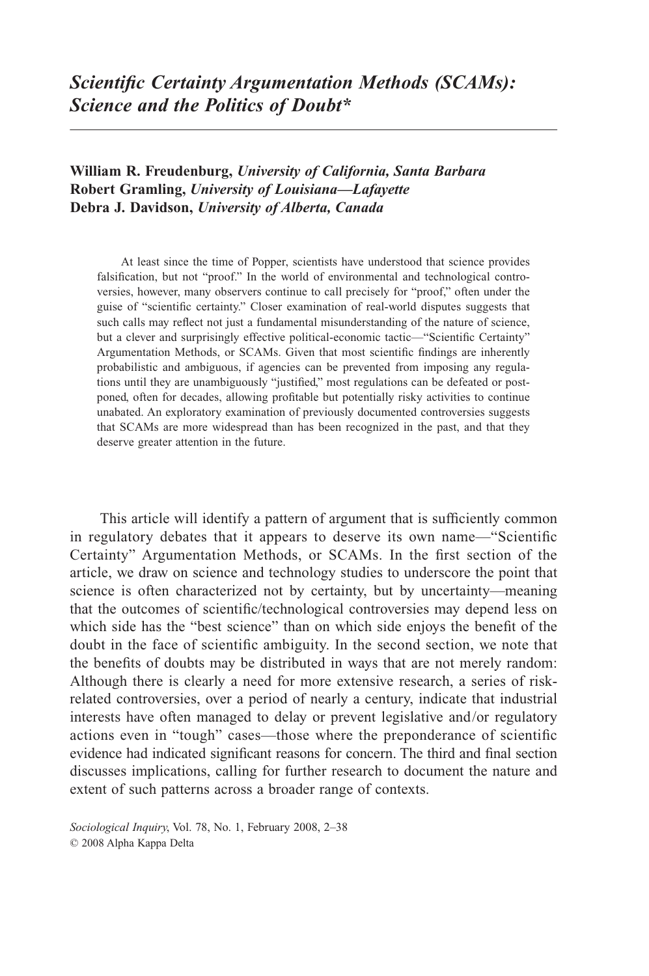# **William R. Freudenburg,** *University of California, Santa Barbara* **Robert Gramling,** *University of Louisiana—Lafayette* **Debra J. Davidson,** *University of Alberta, Canada*

At least since the time of Popper, scientists have understood that science provides falsification, but not "proof." In the world of environmental and technological controversies, however, many observers continue to call precisely for "proof," often under the guise of "scientific certainty." Closer examination of real-world disputes suggests that such calls may reflect not just a fundamental misunderstanding of the nature of science, but a clever and surprisingly effective political-economic tactic—"Scientific Certainty" Argumentation Methods, or SCAMs. Given that most scientific findings are inherently probabilistic and ambiguous, if agencies can be prevented from imposing any regulations until they are unambiguously "justified," most regulations can be defeated or postponed, often for decades, allowing profitable but potentially risky activities to continue unabated. An exploratory examination of previously documented controversies suggests that SCAMs are more widespread than has been recognized in the past, and that they deserve greater attention in the future.

This article will identify a pattern of argument that is sufficiently common in regulatory debates that it appears to deserve its own name—"Scientific Certainty" Argumentation Methods, or SCAMs. In the first section of the article, we draw on science and technology studies to underscore the point that science is often characterized not by certainty, but by uncertainty—meaning that the outcomes of scientific/technological controversies may depend less on which side has the "best science" than on which side enjoys the benefit of the doubt in the face of scientific ambiguity. In the second section, we note that the benefits of doubts may be distributed in ways that are not merely random: Although there is clearly a need for more extensive research, a series of riskrelated controversies, over a period of nearly a century, indicate that industrial interests have often managed to delay or prevent legislative and/or regulatory actions even in "tough" cases—those where the preponderance of scientific evidence had indicated significant reasons for concern. The third and final section discusses implications, calling for further research to document the nature and extent of such patterns across a broader range of contexts.

*Sociological Inquiry*, Vol. 78, No. 1, February 2008, 2–38 © 2008 Alpha Kappa Delta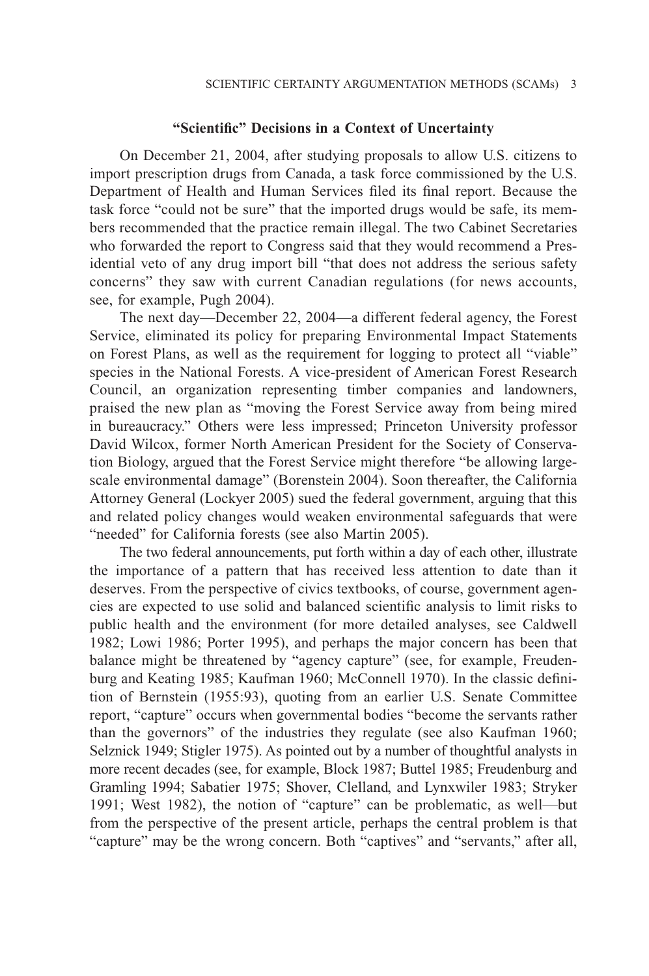### **"Scientific" Decisions in a Context of Uncertainty**

On December 21, 2004, after studying proposals to allow U.S. citizens to import prescription drugs from Canada, a task force commissioned by the U.S. Department of Health and Human Services filed its final report. Because the task force "could not be sure" that the imported drugs would be safe, its members recommended that the practice remain illegal. The two Cabinet Secretaries who forwarded the report to Congress said that they would recommend a Presidential veto of any drug import bill "that does not address the serious safety concerns" they saw with current Canadian regulations (for news accounts, see, for example, Pugh 2004).

The next day—December 22, 2004—a different federal agency, the Forest Service, eliminated its policy for preparing Environmental Impact Statements on Forest Plans, as well as the requirement for logging to protect all "viable" species in the National Forests. A vice-president of American Forest Research Council, an organization representing timber companies and landowners, praised the new plan as "moving the Forest Service away from being mired in bureaucracy." Others were less impressed; Princeton University professor David Wilcox, former North American President for the Society of Conservation Biology, argued that the Forest Service might therefore "be allowing largescale environmental damage" (Borenstein 2004). Soon thereafter, the California Attorney General (Lockyer 2005) sued the federal government, arguing that this and related policy changes would weaken environmental safeguards that were "needed" for California forests (see also Martin 2005).

The two federal announcements, put forth within a day of each other, illustrate the importance of a pattern that has received less attention to date than it deserves. From the perspective of civics textbooks, of course, government agencies are expected to use solid and balanced scientific analysis to limit risks to public health and the environment (for more detailed analyses, see Caldwell 1982; Lowi 1986; Porter 1995), and perhaps the major concern has been that balance might be threatened by "agency capture" (see, for example, Freudenburg and Keating 1985; Kaufman 1960; McConnell 1970). In the classic definition of Bernstein (1955:93), quoting from an earlier U.S. Senate Committee report, "capture" occurs when governmental bodies "become the servants rather than the governors" of the industries they regulate (see also Kaufman 1960; Selznick 1949; Stigler 1975). As pointed out by a number of thoughtful analysts in more recent decades (see, for example, Block 1987; Buttel 1985; Freudenburg and Gramling 1994; Sabatier 1975; Shover, Clelland, and Lynxwiler 1983; Stryker 1991; West 1982), the notion of "capture" can be problematic, as well—but from the perspective of the present article, perhaps the central problem is that "capture" may be the wrong concern. Both "captives" and "servants," after all,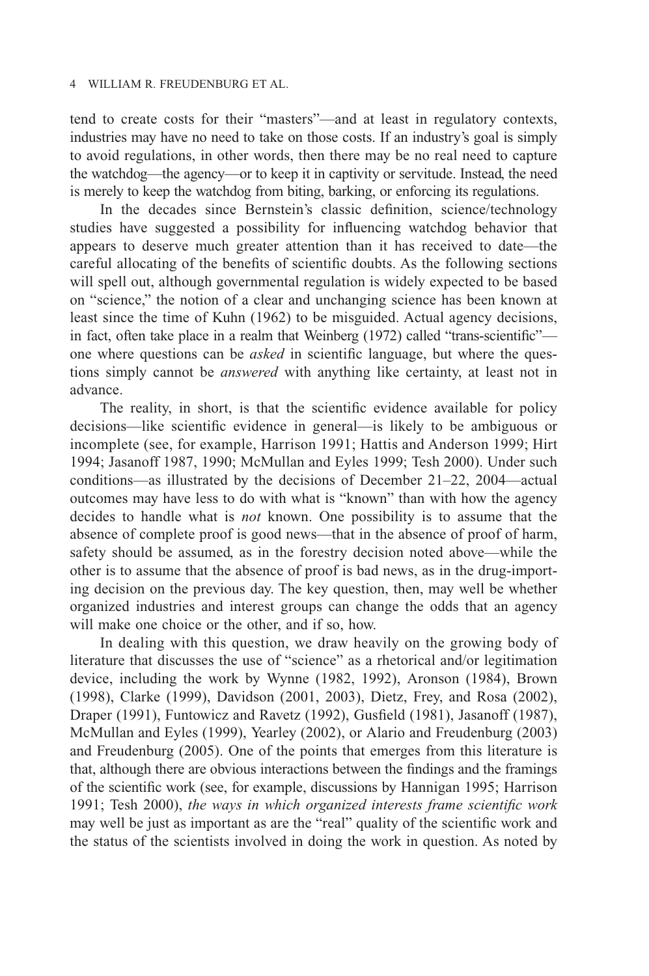tend to create costs for their "masters"—and at least in regulatory contexts, industries may have no need to take on those costs. If an industry's goal is simply to avoid regulations, in other words, then there may be no real need to capture the watchdog—the agency—or to keep it in captivity or servitude. Instead, the need is merely to keep the watchdog from biting, barking, or enforcing its regulations.

In the decades since Bernstein's classic definition, science/technology studies have suggested a possibility for influencing watchdog behavior that appears to deserve much greater attention than it has received to date—the careful allocating of the benefits of scientific doubts. As the following sections will spell out, although governmental regulation is widely expected to be based on "science," the notion of a clear and unchanging science has been known at least since the time of Kuhn (1962) to be misguided. Actual agency decisions, in fact, often take place in a realm that Weinberg (1972) called "trans-scientific" one where questions can be *asked* in scientific language, but where the questions simply cannot be *answered* with anything like certainty, at least not in advance.

The reality, in short, is that the scientific evidence available for policy decisions—like scientific evidence in general—is likely to be ambiguous or incomplete (see, for example, Harrison 1991; Hattis and Anderson 1999; Hirt 1994; Jasanoff 1987, 1990; McMullan and Eyles 1999; Tesh 2000). Under such conditions—as illustrated by the decisions of December 21–22, 2004—actual outcomes may have less to do with what is "known" than with how the agency decides to handle what is *not* known. One possibility is to assume that the absence of complete proof is good news—that in the absence of proof of harm, safety should be assumed, as in the forestry decision noted above—while the other is to assume that the absence of proof is bad news, as in the drug-importing decision on the previous day. The key question, then, may well be whether organized industries and interest groups can change the odds that an agency will make one choice or the other, and if so, how.

In dealing with this question, we draw heavily on the growing body of literature that discusses the use of "science" as a rhetorical and/or legitimation device, including the work by Wynne (1982, 1992), Aronson (1984), Brown (1998), Clarke (1999), Davidson (2001, 2003), Dietz, Frey, and Rosa (2002), Draper (1991), Funtowicz and Ravetz (1992), Gusfield (1981), Jasanoff (1987), McMullan and Eyles (1999), Yearley (2002), or Alario and Freudenburg (2003) and Freudenburg (2005). One of the points that emerges from this literature is that, although there are obvious interactions between the findings and the framings of the scientific work (see, for example, discussions by Hannigan 1995; Harrison 1991; Tesh 2000), *the ways in which organized interests frame scientific work* may well be just as important as are the "real" quality of the scientific work and the status of the scientists involved in doing the work in question. As noted by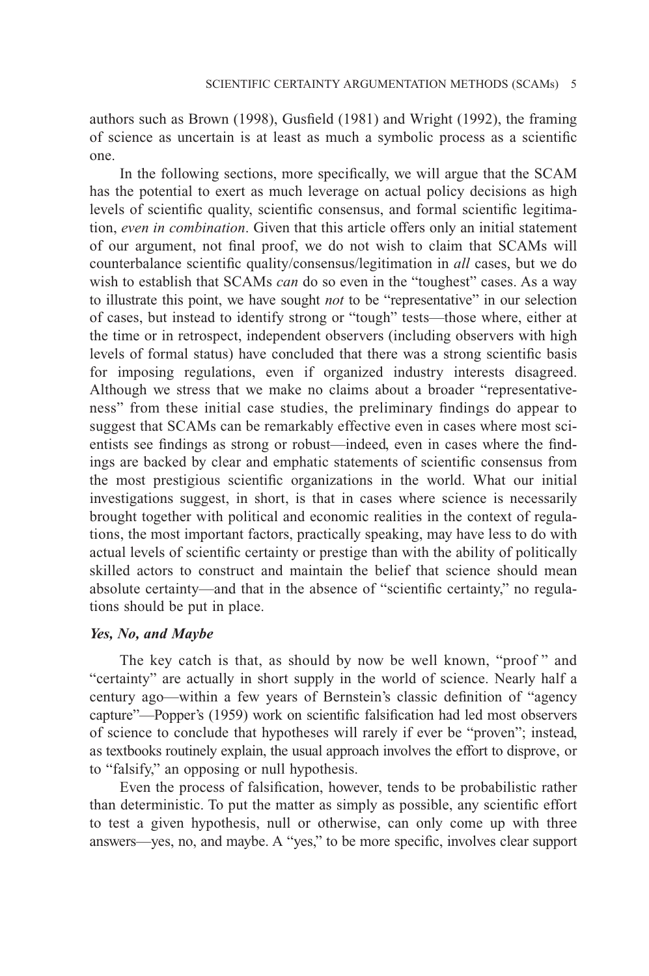authors such as Brown (1998), Gusfield (1981) and Wright (1992), the framing of science as uncertain is at least as much a symbolic process as a scientific one.

In the following sections, more specifically, we will argue that the SCAM has the potential to exert as much leverage on actual policy decisions as high levels of scientific quality, scientific consensus, and formal scientific legitimation, *even in combination*. Given that this article offers only an initial statement of our argument, not final proof, we do not wish to claim that SCAMs will counterbalance scientific quality/consensus/legitimation in *all* cases, but we do wish to establish that SCAMs *can* do so even in the "toughest" cases. As a way to illustrate this point, we have sought *not* to be "representative" in our selection of cases, but instead to identify strong or "tough" tests—those where, either at the time or in retrospect, independent observers (including observers with high levels of formal status) have concluded that there was a strong scientific basis for imposing regulations, even if organized industry interests disagreed. Although we stress that we make no claims about a broader "representativeness" from these initial case studies, the preliminary findings do appear to suggest that SCAMs can be remarkably effective even in cases where most scientists see findings as strong or robust—indeed, even in cases where the findings are backed by clear and emphatic statements of scientific consensus from the most prestigious scientific organizations in the world. What our initial investigations suggest, in short, is that in cases where science is necessarily brought together with political and economic realities in the context of regulations, the most important factors, practically speaking, may have less to do with actual levels of scientific certainty or prestige than with the ability of politically skilled actors to construct and maintain the belief that science should mean absolute certainty—and that in the absence of "scientific certainty," no regulations should be put in place.

## *Yes, No, and Maybe*

The key catch is that, as should by now be well known, "proof " and "certainty" are actually in short supply in the world of science. Nearly half a century ago—within a few years of Bernstein's classic definition of "agency capture"—Popper's (1959) work on scientific falsification had led most observers of science to conclude that hypotheses will rarely if ever be "proven"; instead, as textbooks routinely explain, the usual approach involves the effort to disprove, or to "falsify," an opposing or null hypothesis.

Even the process of falsification, however, tends to be probabilistic rather than deterministic. To put the matter as simply as possible, any scientific effort to test a given hypothesis, null or otherwise, can only come up with three answers—yes, no, and maybe. A "yes," to be more specific, involves clear support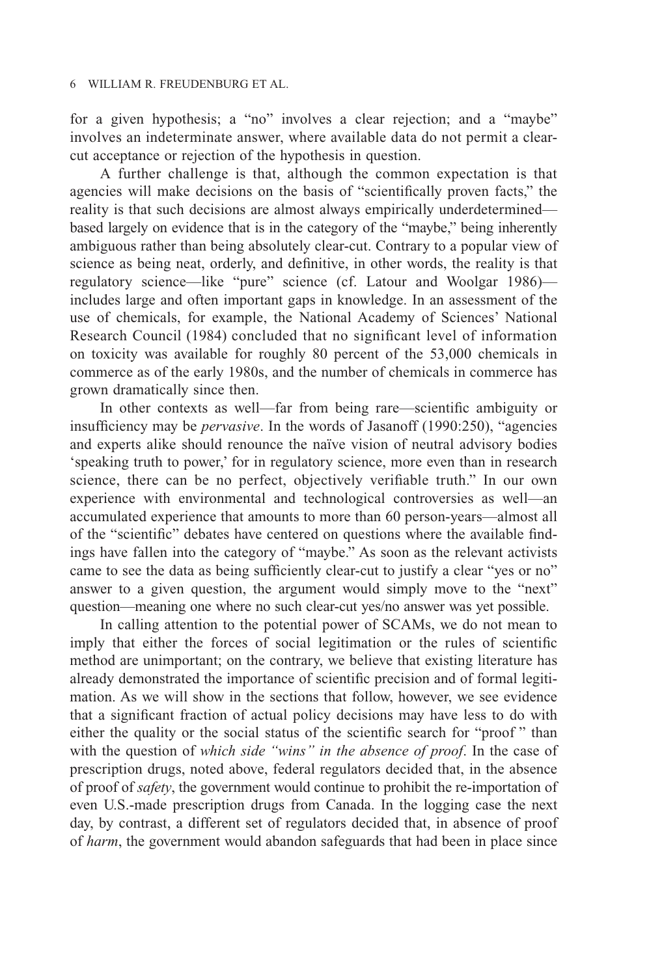for a given hypothesis; a "no" involves a clear rejection; and a "maybe" involves an indeterminate answer, where available data do not permit a clearcut acceptance or rejection of the hypothesis in question.

A further challenge is that, although the common expectation is that agencies will make decisions on the basis of "scientifically proven facts," the reality is that such decisions are almost always empirically underdetermined based largely on evidence that is in the category of the "maybe," being inherently ambiguous rather than being absolutely clear-cut. Contrary to a popular view of science as being neat, orderly, and definitive, in other words, the reality is that regulatory science—like "pure" science (cf. Latour and Woolgar 1986) includes large and often important gaps in knowledge. In an assessment of the use of chemicals, for example, the National Academy of Sciences' National Research Council (1984) concluded that no significant level of information on toxicity was available for roughly 80 percent of the 53,000 chemicals in commerce as of the early 1980s, and the number of chemicals in commerce has grown dramatically since then.

In other contexts as well—far from being rare—scientific ambiguity or insufficiency may be *pervasive*. In the words of Jasanoff (1990:250), "agencies and experts alike should renounce the naïve vision of neutral advisory bodies 'speaking truth to power,' for in regulatory science, more even than in research science, there can be no perfect, objectively verifiable truth." In our own experience with environmental and technological controversies as well—an accumulated experience that amounts to more than 60 person-years—almost all of the "scientific" debates have centered on questions where the available findings have fallen into the category of "maybe." As soon as the relevant activists came to see the data as being sufficiently clear-cut to justify a clear "yes or no" answer to a given question, the argument would simply move to the "next" question—meaning one where no such clear-cut yes/no answer was yet possible.

In calling attention to the potential power of SCAMs, we do not mean to imply that either the forces of social legitimation or the rules of scientific method are unimportant; on the contrary, we believe that existing literature has already demonstrated the importance of scientific precision and of formal legitimation. As we will show in the sections that follow, however, we see evidence that a significant fraction of actual policy decisions may have less to do with either the quality or the social status of the scientific search for "proof " than with the question of *which side "wins" in the absence of proof*. In the case of prescription drugs, noted above, federal regulators decided that, in the absence of proof of *safety*, the government would continue to prohibit the re-importation of even U.S.-made prescription drugs from Canada. In the logging case the next day, by contrast, a different set of regulators decided that, in absence of proof of *harm*, the government would abandon safeguards that had been in place since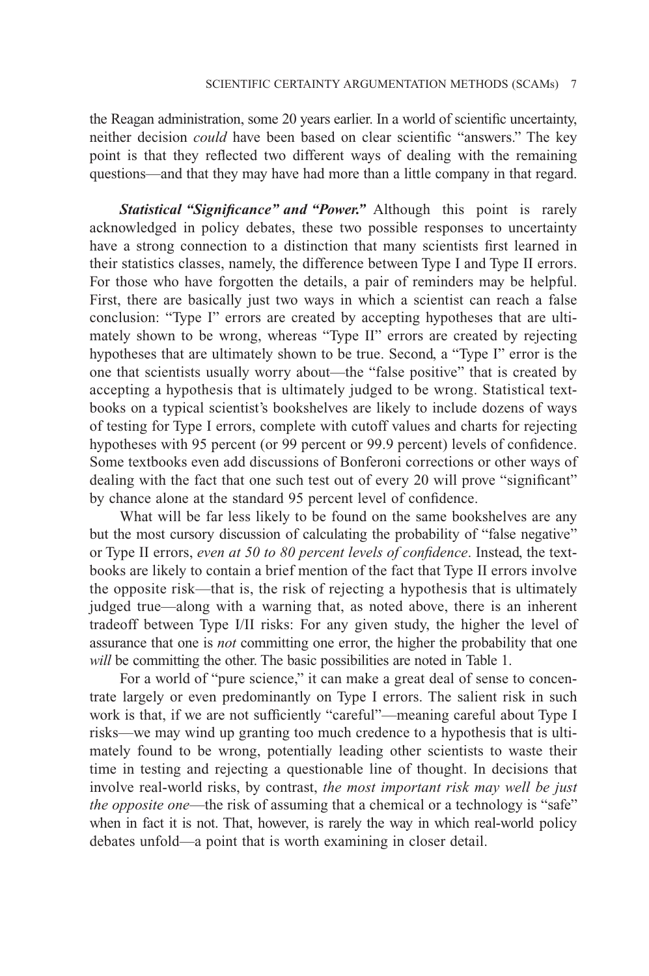the Reagan administration, some 20 years earlier. In a world of scientific uncertainty, neither decision *could* have been based on clear scientific "answers." The key point is that they reflected two different ways of dealing with the remaining questions—and that they may have had more than a little company in that regard.

*Statistical "Significance" and "Power."* Although this point is rarely acknowledged in policy debates, these two possible responses to uncertainty have a strong connection to a distinction that many scientists first learned in their statistics classes, namely, the difference between Type I and Type II errors. For those who have forgotten the details, a pair of reminders may be helpful. First, there are basically just two ways in which a scientist can reach a false conclusion: "Type I" errors are created by accepting hypotheses that are ultimately shown to be wrong, whereas "Type II" errors are created by rejecting hypotheses that are ultimately shown to be true. Second, a "Type I" error is the one that scientists usually worry about—the "false positive" that is created by accepting a hypothesis that is ultimately judged to be wrong. Statistical textbooks on a typical scientist's bookshelves are likely to include dozens of ways of testing for Type I errors, complete with cutoff values and charts for rejecting hypotheses with 95 percent (or 99 percent or 99.9 percent) levels of confidence. Some textbooks even add discussions of Bonferoni corrections or other ways of dealing with the fact that one such test out of every 20 will prove "significant" by chance alone at the standard 95 percent level of confidence.

What will be far less likely to be found on the same bookshelves are any but the most cursory discussion of calculating the probability of "false negative" or Type II errors, *even at 50 to 80 percent levels of confidence*. Instead, the textbooks are likely to contain a brief mention of the fact that Type II errors involve the opposite risk—that is, the risk of rejecting a hypothesis that is ultimately judged true—along with a warning that, as noted above, there is an inherent tradeoff between Type I/II risks: For any given study, the higher the level of assurance that one is *not* committing one error, the higher the probability that one *will* be committing the other. The basic possibilities are noted in Table 1.

For a world of "pure science," it can make a great deal of sense to concentrate largely or even predominantly on Type I errors. The salient risk in such work is that, if we are not sufficiently "careful"—meaning careful about Type I risks—we may wind up granting too much credence to a hypothesis that is ultimately found to be wrong, potentially leading other scientists to waste their time in testing and rejecting a questionable line of thought. In decisions that involve real-world risks, by contrast, *the most important risk may well be just the opposite one*—the risk of assuming that a chemical or a technology is "safe" when in fact it is not. That, however, is rarely the way in which real-world policy debates unfold—a point that is worth examining in closer detail.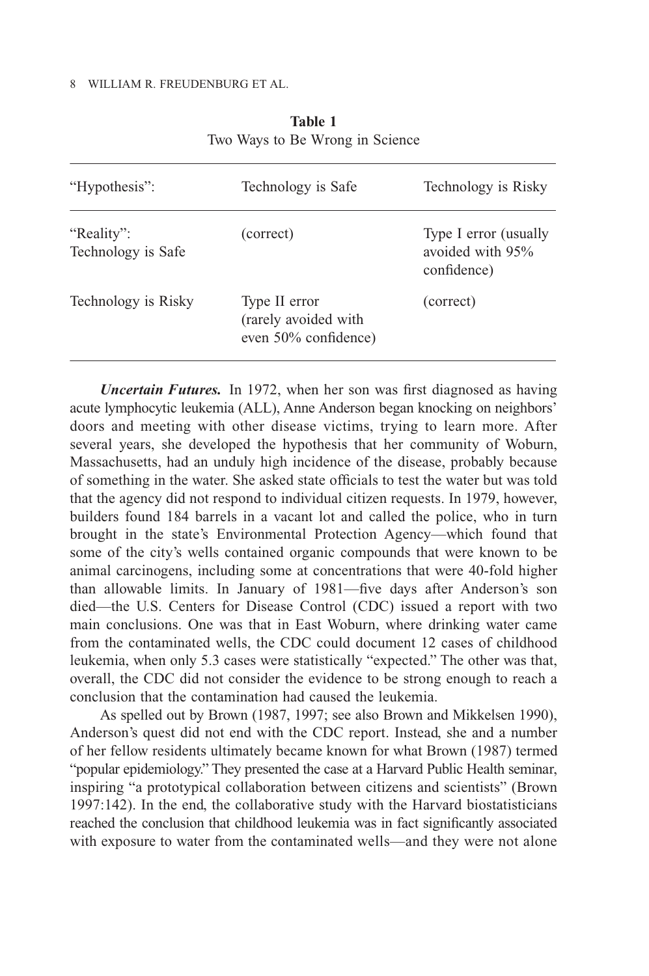| "Hypothesis":                    | Technology is Safe                                            | Technology is Risky                                      |
|----------------------------------|---------------------------------------------------------------|----------------------------------------------------------|
| "Reality":<br>Technology is Safe | (correct)                                                     | Type I error (usually<br>avoided with 95%<br>confidence) |
| Technology is Risky              | Type II error<br>(rarely avoided with<br>even 50% confidence) | (correct)                                                |

**Table 1** Two Ways to Be Wrong in Science

*Uncertain Futures.* In 1972, when her son was first diagnosed as having acute lymphocytic leukemia (ALL), Anne Anderson began knocking on neighbors' doors and meeting with other disease victims, trying to learn more. After several years, she developed the hypothesis that her community of Woburn, Massachusetts, had an unduly high incidence of the disease, probably because of something in the water. She asked state officials to test the water but was told that the agency did not respond to individual citizen requests. In 1979, however, builders found 184 barrels in a vacant lot and called the police, who in turn brought in the state's Environmental Protection Agency—which found that some of the city's wells contained organic compounds that were known to be animal carcinogens, including some at concentrations that were 40-fold higher than allowable limits. In January of 1981—five days after Anderson's son died—the U.S. Centers for Disease Control (CDC) issued a report with two main conclusions. One was that in East Woburn, where drinking water came from the contaminated wells, the CDC could document 12 cases of childhood leukemia, when only 5.3 cases were statistically "expected." The other was that, overall, the CDC did not consider the evidence to be strong enough to reach a conclusion that the contamination had caused the leukemia.

As spelled out by Brown (1987, 1997; see also Brown and Mikkelsen 1990), Anderson's quest did not end with the CDC report. Instead, she and a number of her fellow residents ultimately became known for what Brown (1987) termed "popular epidemiology." They presented the case at a Harvard Public Health seminar, inspiring "a prototypical collaboration between citizens and scientists" (Brown 1997:142). In the end, the collaborative study with the Harvard biostatisticians reached the conclusion that childhood leukemia was in fact significantly associated with exposure to water from the contaminated wells—and they were not alone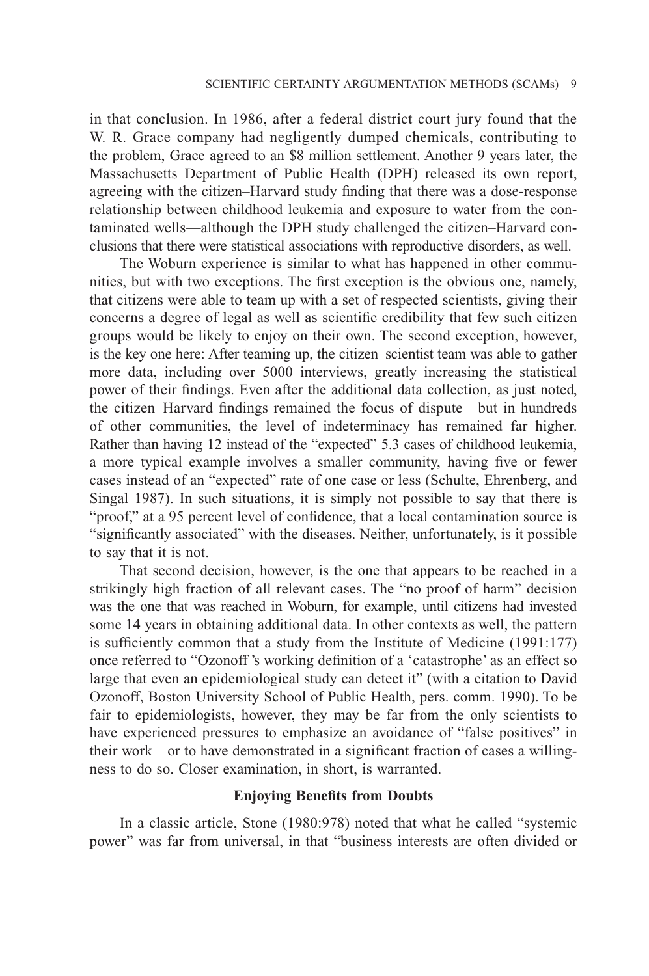in that conclusion. In 1986, after a federal district court jury found that the W. R. Grace company had negligently dumped chemicals, contributing to the problem, Grace agreed to an \$8 million settlement. Another 9 years later, the Massachusetts Department of Public Health (DPH) released its own report, agreeing with the citizen–Harvard study finding that there was a dose-response relationship between childhood leukemia and exposure to water from the contaminated wells—although the DPH study challenged the citizen–Harvard conclusions that there were statistical associations with reproductive disorders, as well.

The Woburn experience is similar to what has happened in other communities, but with two exceptions. The first exception is the obvious one, namely, that citizens were able to team up with a set of respected scientists, giving their concerns a degree of legal as well as scientific credibility that few such citizen groups would be likely to enjoy on their own. The second exception, however, is the key one here: After teaming up, the citizen–scientist team was able to gather more data, including over 5000 interviews, greatly increasing the statistical power of their findings. Even after the additional data collection, as just noted, the citizen–Harvard findings remained the focus of dispute—but in hundreds of other communities, the level of indeterminacy has remained far higher. Rather than having 12 instead of the "expected" 5.3 cases of childhood leukemia, a more typical example involves a smaller community, having five or fewer cases instead of an "expected" rate of one case or less (Schulte, Ehrenberg, and Singal 1987). In such situations, it is simply not possible to say that there is "proof," at a 95 percent level of confidence, that a local contamination source is "significantly associated" with the diseases. Neither, unfortunately, is it possible to say that it is not.

That second decision, however, is the one that appears to be reached in a strikingly high fraction of all relevant cases. The "no proof of harm" decision was the one that was reached in Woburn, for example, until citizens had invested some 14 years in obtaining additional data. In other contexts as well, the pattern is sufficiently common that a study from the Institute of Medicine (1991:177) once referred to "Ozonoff 's working definition of a 'catastrophe' as an effect so large that even an epidemiological study can detect it" (with a citation to David Ozonoff, Boston University School of Public Health, pers. comm. 1990). To be fair to epidemiologists, however, they may be far from the only scientists to have experienced pressures to emphasize an avoidance of "false positives" in their work—or to have demonstrated in a significant fraction of cases a willingness to do so. Closer examination, in short, is warranted.

### **Enjoying Benefits from Doubts**

In a classic article, Stone (1980:978) noted that what he called "systemic power" was far from universal, in that "business interests are often divided or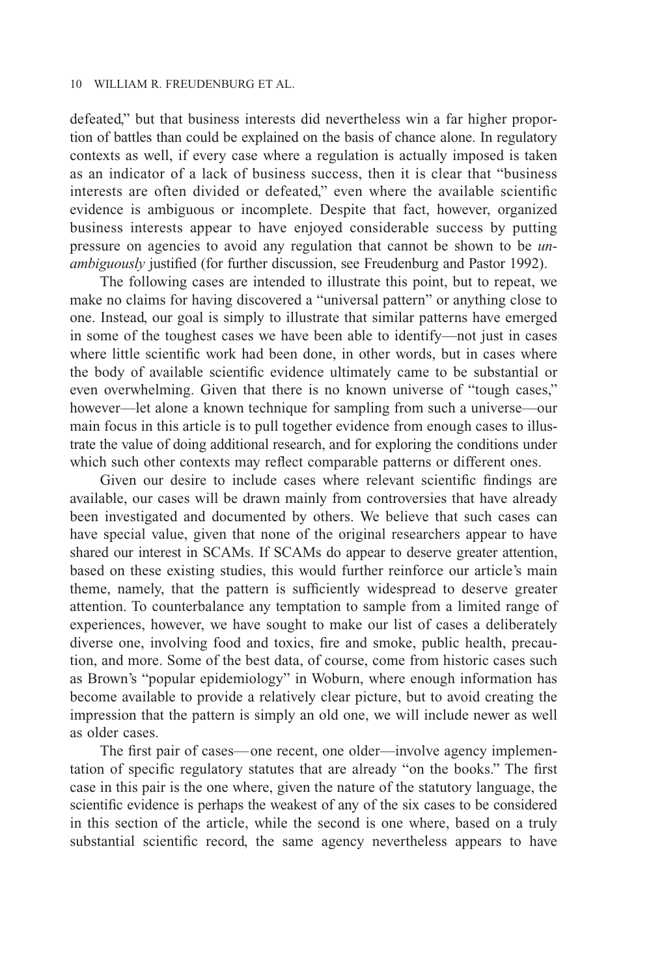defeated," but that business interests did nevertheless win a far higher proportion of battles than could be explained on the basis of chance alone. In regulatory contexts as well, if every case where a regulation is actually imposed is taken as an indicator of a lack of business success, then it is clear that "business interests are often divided or defeated," even where the available scientific evidence is ambiguous or incomplete. Despite that fact, however, organized business interests appear to have enjoyed considerable success by putting pressure on agencies to avoid any regulation that cannot be shown to be *unambiguously* justified (for further discussion, see Freudenburg and Pastor 1992).

The following cases are intended to illustrate this point, but to repeat, we make no claims for having discovered a "universal pattern" or anything close to one. Instead, our goal is simply to illustrate that similar patterns have emerged in some of the toughest cases we have been able to identify—not just in cases where little scientific work had been done, in other words, but in cases where the body of available scientific evidence ultimately came to be substantial or even overwhelming. Given that there is no known universe of "tough cases," however—let alone a known technique for sampling from such a universe—our main focus in this article is to pull together evidence from enough cases to illustrate the value of doing additional research, and for exploring the conditions under which such other contexts may reflect comparable patterns or different ones.

Given our desire to include cases where relevant scientific findings are available, our cases will be drawn mainly from controversies that have already been investigated and documented by others. We believe that such cases can have special value, given that none of the original researchers appear to have shared our interest in SCAMs. If SCAMs do appear to deserve greater attention, based on these existing studies, this would further reinforce our article's main theme, namely, that the pattern is sufficiently widespread to deserve greater attention. To counterbalance any temptation to sample from a limited range of experiences, however, we have sought to make our list of cases a deliberately diverse one, involving food and toxics, fire and smoke, public health, precaution, and more. Some of the best data, of course, come from historic cases such as Brown's "popular epidemiology" in Woburn, where enough information has become available to provide a relatively clear picture, but to avoid creating the impression that the pattern is simply an old one, we will include newer as well as older cases.

The first pair of cases—one recent, one older—involve agency implementation of specific regulatory statutes that are already "on the books." The first case in this pair is the one where, given the nature of the statutory language, the scientific evidence is perhaps the weakest of any of the six cases to be considered in this section of the article, while the second is one where, based on a truly substantial scientific record, the same agency nevertheless appears to have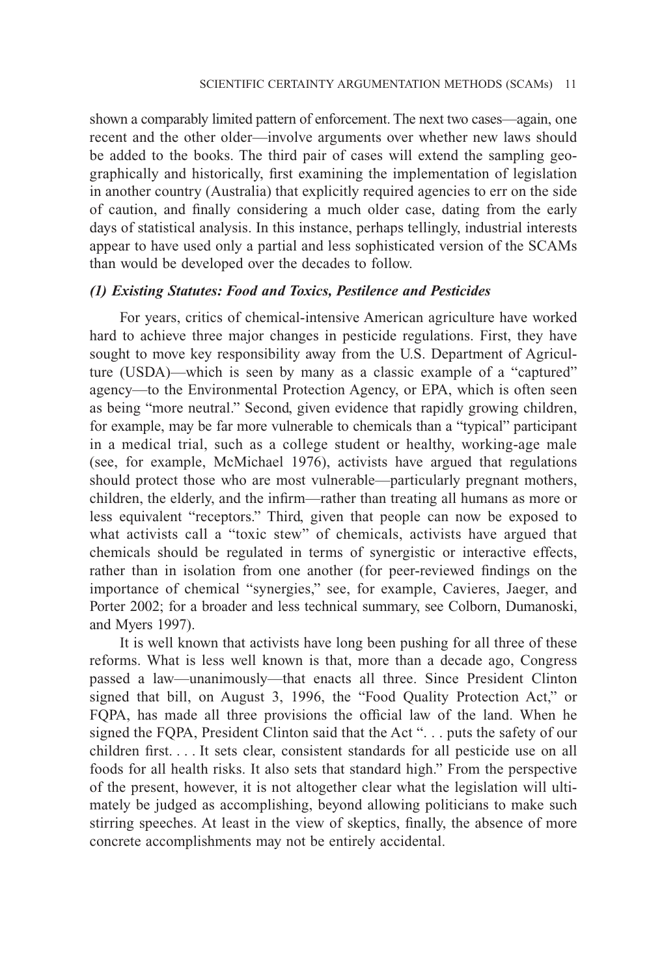shown a comparably limited pattern of enforcement. The next two cases—again, one recent and the other older—involve arguments over whether new laws should be added to the books. The third pair of cases will extend the sampling geographically and historically, first examining the implementation of legislation in another country (Australia) that explicitly required agencies to err on the side of caution, and finally considering a much older case, dating from the early days of statistical analysis. In this instance, perhaps tellingly, industrial interests appear to have used only a partial and less sophisticated version of the SCAMs than would be developed over the decades to follow.

## *(1) Existing Statutes: Food and Toxics, Pestilence and Pesticides*

For years, critics of chemical-intensive American agriculture have worked hard to achieve three major changes in pesticide regulations. First, they have sought to move key responsibility away from the U.S. Department of Agriculture (USDA)—which is seen by many as a classic example of a "captured" agency—to the Environmental Protection Agency, or EPA, which is often seen as being "more neutral." Second, given evidence that rapidly growing children, for example, may be far more vulnerable to chemicals than a "typical" participant in a medical trial, such as a college student or healthy, working-age male (see, for example, McMichael 1976), activists have argued that regulations should protect those who are most vulnerable—particularly pregnant mothers, children, the elderly, and the infirm—rather than treating all humans as more or less equivalent "receptors." Third, given that people can now be exposed to what activists call a "toxic stew" of chemicals, activists have argued that chemicals should be regulated in terms of synergistic or interactive effects, rather than in isolation from one another (for peer-reviewed findings on the importance of chemical "synergies," see, for example, Cavieres, Jaeger, and Porter 2002; for a broader and less technical summary, see Colborn, Dumanoski, and Myers 1997).

It is well known that activists have long been pushing for all three of these reforms. What is less well known is that, more than a decade ago, Congress passed a law—unanimously—that enacts all three. Since President Clinton signed that bill, on August 3, 1996, the "Food Quality Protection Act," or FQPA, has made all three provisions the official law of the land. When he signed the FQPA, President Clinton said that the Act ". . . puts the safety of our children first. . . . It sets clear, consistent standards for all pesticide use on all foods for all health risks. It also sets that standard high." From the perspective of the present, however, it is not altogether clear what the legislation will ultimately be judged as accomplishing, beyond allowing politicians to make such stirring speeches. At least in the view of skeptics, finally, the absence of more concrete accomplishments may not be entirely accidental.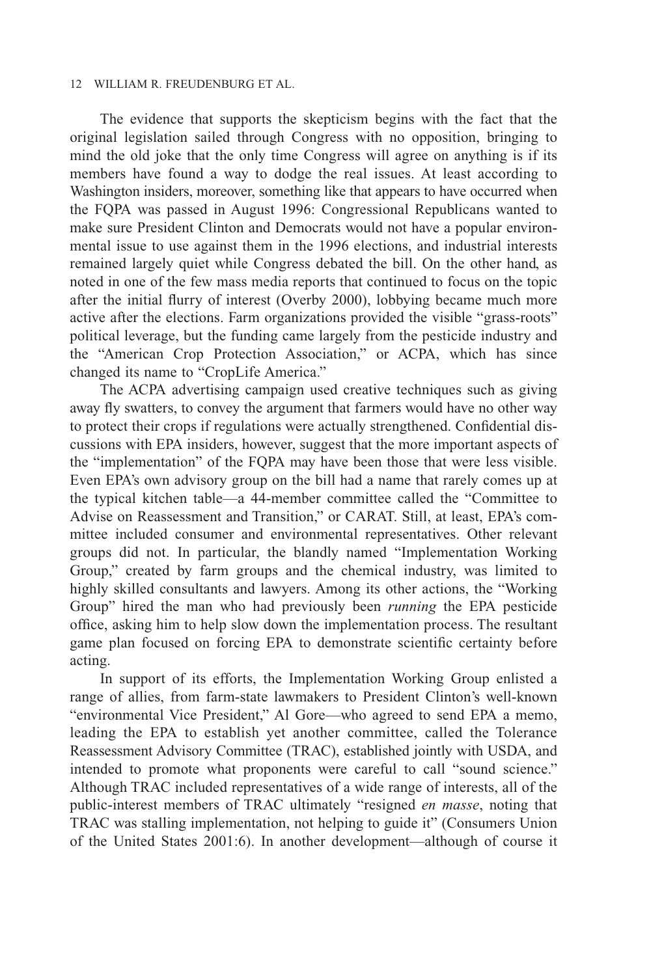The evidence that supports the skepticism begins with the fact that the original legislation sailed through Congress with no opposition, bringing to mind the old joke that the only time Congress will agree on anything is if its members have found a way to dodge the real issues. At least according to Washington insiders, moreover, something like that appears to have occurred when the FQPA was passed in August 1996: Congressional Republicans wanted to make sure President Clinton and Democrats would not have a popular environmental issue to use against them in the 1996 elections, and industrial interests remained largely quiet while Congress debated the bill. On the other hand, as noted in one of the few mass media reports that continued to focus on the topic after the initial flurry of interest (Overby 2000), lobbying became much more active after the elections. Farm organizations provided the visible "grass-roots" political leverage, but the funding came largely from the pesticide industry and the "American Crop Protection Association," or ACPA, which has since changed its name to "CropLife America."

The ACPA advertising campaign used creative techniques such as giving away fly swatters, to convey the argument that farmers would have no other way to protect their crops if regulations were actually strengthened. Confidential discussions with EPA insiders, however, suggest that the more important aspects of the "implementation" of the FQPA may have been those that were less visible. Even EPA's own advisory group on the bill had a name that rarely comes up at the typical kitchen table—a 44-member committee called the "Committee to Advise on Reassessment and Transition," or CARAT. Still, at least, EPA's committee included consumer and environmental representatives. Other relevant groups did not. In particular, the blandly named "Implementation Working Group," created by farm groups and the chemical industry, was limited to highly skilled consultants and lawyers. Among its other actions, the "Working Group" hired the man who had previously been *running* the EPA pesticide office, asking him to help slow down the implementation process. The resultant game plan focused on forcing EPA to demonstrate scientific certainty before acting.

In support of its efforts, the Implementation Working Group enlisted a range of allies, from farm-state lawmakers to President Clinton's well-known "environmental Vice President," Al Gore—who agreed to send EPA a memo, leading the EPA to establish yet another committee, called the Tolerance Reassessment Advisory Committee (TRAC), established jointly with USDA, and intended to promote what proponents were careful to call "sound science." Although TRAC included representatives of a wide range of interests, all of the public-interest members of TRAC ultimately "resigned *en masse*, noting that TRAC was stalling implementation, not helping to guide it" (Consumers Union of the United States 2001:6). In another development—although of course it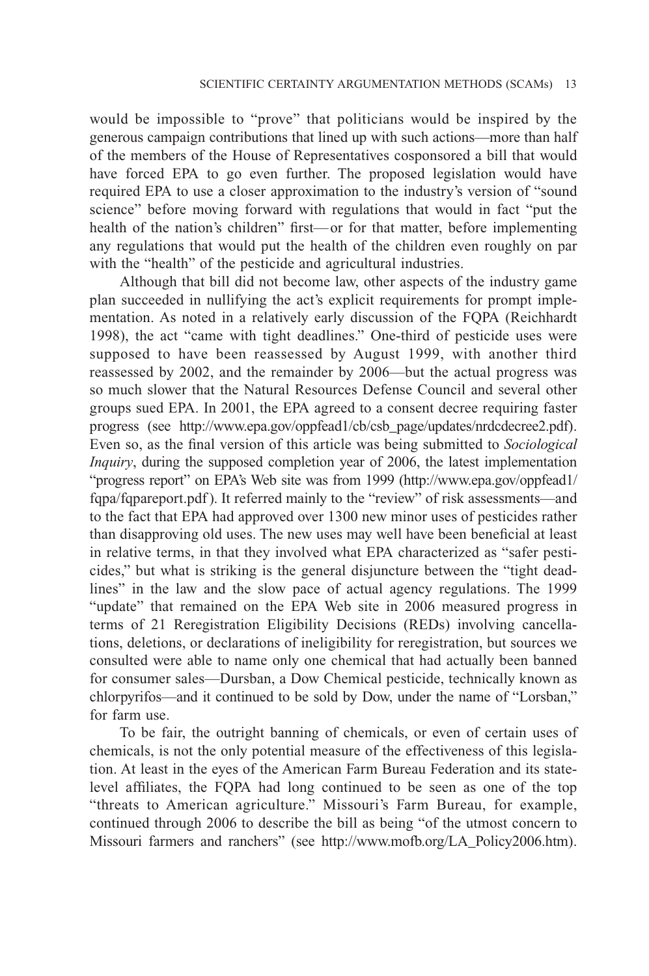would be impossible to "prove" that politicians would be inspired by the generous campaign contributions that lined up with such actions—more than half of the members of the House of Representatives cosponsored a bill that would have forced EPA to go even further. The proposed legislation would have required EPA to use a closer approximation to the industry's version of "sound science" before moving forward with regulations that would in fact "put the health of the nation's children" first—or for that matter, before implementing any regulations that would put the health of the children even roughly on par with the "health" of the pesticide and agricultural industries.

Although that bill did not become law, other aspects of the industry game plan succeeded in nullifying the act's explicit requirements for prompt implementation. As noted in a relatively early discussion of the FQPA (Reichhardt 1998), the act "came with tight deadlines." One-third of pesticide uses were supposed to have been reassessed by August 1999, with another third reassessed by 2002, and the remainder by 2006—but the actual progress was so much slower that the Natural Resources Defense Council and several other groups sued EPA. In 2001, the EPA agreed to a consent decree requiring faster progress (see [http://www.epa.gov/oppfead1/cb/csb\\_page/updates/nrdcdecree2.pdf\).](http://www.epa.gov/oppfead1/cb/csb_page/updates/nrdcdecree2.pdf) Even so, as the final version of this article was being submitted to *Sociological Inquiry*, during the supposed completion year of 2006, the latest implementation ["progress report" on EPA's Web site was from 1999 \(http://www.epa.gov/oppfead1/](http://www.epa.gov/oppfead1/fqpa/fqpareport.pdf ) fqpa/fqpareport.pdf ). It referred mainly to the "review" of risk assessments—and to the fact that EPA had approved over 1300 new minor uses of pesticides rather than disapproving old uses. The new uses may well have been beneficial at least in relative terms, in that they involved what EPA characterized as "safer pesticides," but what is striking is the general disjuncture between the "tight deadlines" in the law and the slow pace of actual agency regulations. The 1999 "update" that remained on the EPA Web site in 2006 measured progress in terms of 21 Reregistration Eligibility Decisions (REDs) involving cancellations, deletions, or declarations of ineligibility for reregistration, but sources we consulted were able to name only one chemical that had actually been banned for consumer sales—Dursban, a Dow Chemical pesticide, technically known as chlorpyrifos—and it continued to be sold by Dow, under the name of "Lorsban," for farm use.

To be fair, the outright banning of chemicals, or even of certain uses of chemicals, is not the only potential measure of the effectiveness of this legislation. At least in the eyes of the American Farm Bureau Federation and its statelevel affiliates, the FQPA had long continued to be seen as one of the top "threats to American agriculture." Missouri's Farm Bureau, for example, continued through 2006 to describe the bill as being "of the utmost concern to Missouri farmers and ranchers" (see [http://www.mofb.org/LA\\_Policy2006.htm\).](http://www.mofb.org/LA_Policy2006.htm)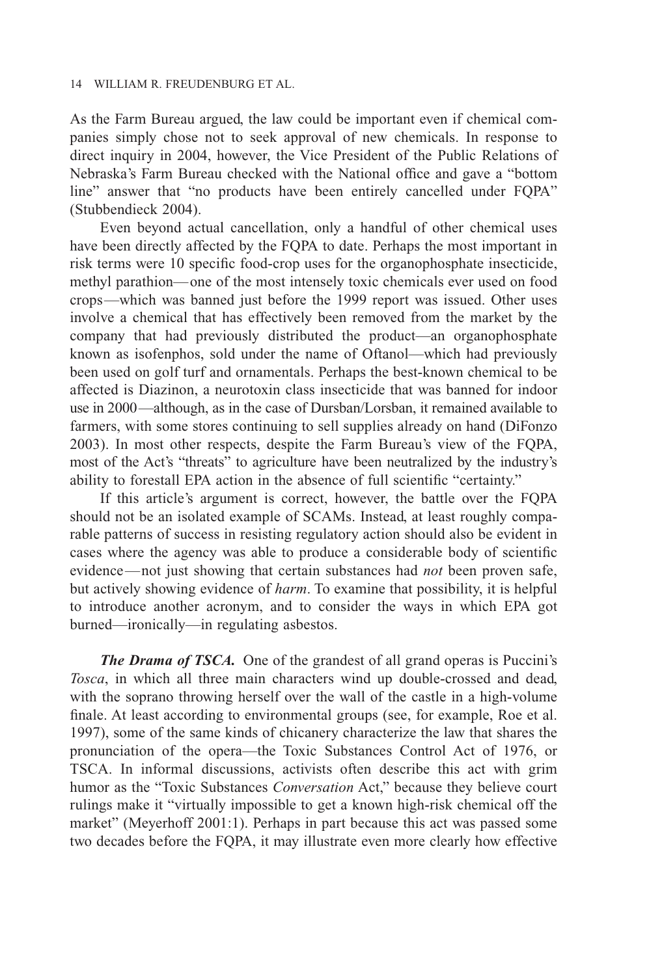As the Farm Bureau argued, the law could be important even if chemical companies simply chose not to seek approval of new chemicals. In response to direct inquiry in 2004, however, the Vice President of the Public Relations of Nebraska's Farm Bureau checked with the National office and gave a "bottom line" answer that "no products have been entirely cancelled under FQPA" (Stubbendieck 2004).

Even beyond actual cancellation, only a handful of other chemical uses have been directly affected by the FQPA to date. Perhaps the most important in risk terms were 10 specific food-crop uses for the organophosphate insecticide, methyl parathion—one of the most intensely toxic chemicals ever used on food crops—which was banned just before the 1999 report was issued. Other uses involve a chemical that has effectively been removed from the market by the company that had previously distributed the product—an organophosphate known as isofenphos, sold under the name of Oftanol—which had previously been used on golf turf and ornamentals. Perhaps the best-known chemical to be affected is Diazinon, a neurotoxin class insecticide that was banned for indoor use in 2000—although, as in the case of Dursban/Lorsban, it remained available to farmers, with some stores continuing to sell supplies already on hand (DiFonzo 2003). In most other respects, despite the Farm Bureau's view of the FQPA, most of the Act's "threats" to agriculture have been neutralized by the industry's ability to forestall EPA action in the absence of full scientific "certainty."

If this article's argument is correct, however, the battle over the FQPA should not be an isolated example of SCAMs. Instead, at least roughly comparable patterns of success in resisting regulatory action should also be evident in cases where the agency was able to produce a considerable body of scientific evidence—not just showing that certain substances had *not* been proven safe, but actively showing evidence of *harm*. To examine that possibility, it is helpful to introduce another acronym, and to consider the ways in which EPA got burned—ironically—in regulating asbestos.

*The Drama of TSCA.* One of the grandest of all grand operas is Puccini's *Tosca*, in which all three main characters wind up double-crossed and dead, with the soprano throwing herself over the wall of the castle in a high-volume finale. At least according to environmental groups (see, for example, Roe et al. 1997), some of the same kinds of chicanery characterize the law that shares the pronunciation of the opera—the Toxic Substances Control Act of 1976, or TSCA. In informal discussions, activists often describe this act with grim humor as the "Toxic Substances *Conversation* Act," because they believe court rulings make it "virtually impossible to get a known high-risk chemical off the market" (Meyerhoff 2001:1). Perhaps in part because this act was passed some two decades before the FQPA, it may illustrate even more clearly how effective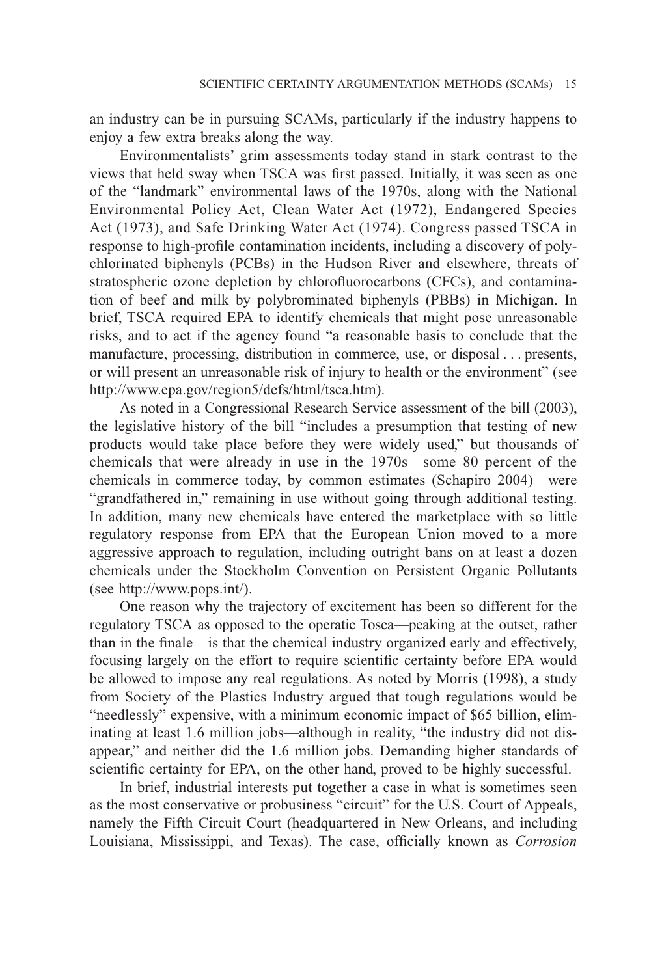an industry can be in pursuing SCAMs, particularly if the industry happens to enjoy a few extra breaks along the way.

Environmentalists' grim assessments today stand in stark contrast to the views that held sway when TSCA was first passed. Initially, it was seen as one of the "landmark" environmental laws of the 1970s, along with the National Environmental Policy Act, Clean Water Act (1972), Endangered Species Act (1973), and Safe Drinking Water Act (1974). Congress passed TSCA in response to high-profile contamination incidents, including a discovery of polychlorinated biphenyls (PCBs) in the Hudson River and elsewhere, threats of stratospheric ozone depletion by chlorofluorocarbons (CFCs), and contamination of beef and milk by polybrominated biphenyls (PBBs) in Michigan. In brief, TSCA required EPA to identify chemicals that might pose unreasonable risks, and to act if the agency found "a reasonable basis to conclude that the manufacture, processing, distribution in commerce, use, or disposal . . . presents, or will present an unreasonable risk of injury to health or the environment" (see [http://www.epa.gov/region5/defs/html/tsca.htm\).](http://www.epa.gov/region5/defs/html/tsca.htm)

As noted in a Congressional Research Service assessment of the bill (2003), the legislative history of the bill "includes a presumption that testing of new products would take place before they were widely used," but thousands of chemicals that were already in use in the 1970s—some 80 percent of the chemicals in commerce today, by common estimates (Schapiro 2004)—were "grandfathered in," remaining in use without going through additional testing. In addition, many new chemicals have entered the marketplace with so little regulatory response from EPA that the European Union moved to a more aggressive approach to regulation, including outright bans on at least a dozen chemicals under the Stockholm Convention on Persistent Organic Pollutants (see [http://www.pops.int/\).](http://www.pops.int/)

One reason why the trajectory of excitement has been so different for the regulatory TSCA as opposed to the operatic Tosca—peaking at the outset, rather than in the finale—is that the chemical industry organized early and effectively, focusing largely on the effort to require scientific certainty before EPA would be allowed to impose any real regulations. As noted by Morris (1998), a study from Society of the Plastics Industry argued that tough regulations would be "needlessly" expensive, with a minimum economic impact of \$65 billion, eliminating at least 1.6 million jobs—although in reality, "the industry did not disappear," and neither did the 1.6 million jobs. Demanding higher standards of scientific certainty for EPA, on the other hand, proved to be highly successful.

In brief, industrial interests put together a case in what is sometimes seen as the most conservative or probusiness "circuit" for the U.S. Court of Appeals, namely the Fifth Circuit Court (headquartered in New Orleans, and including Louisiana, Mississippi, and Texas). The case, officially known as *Corrosion*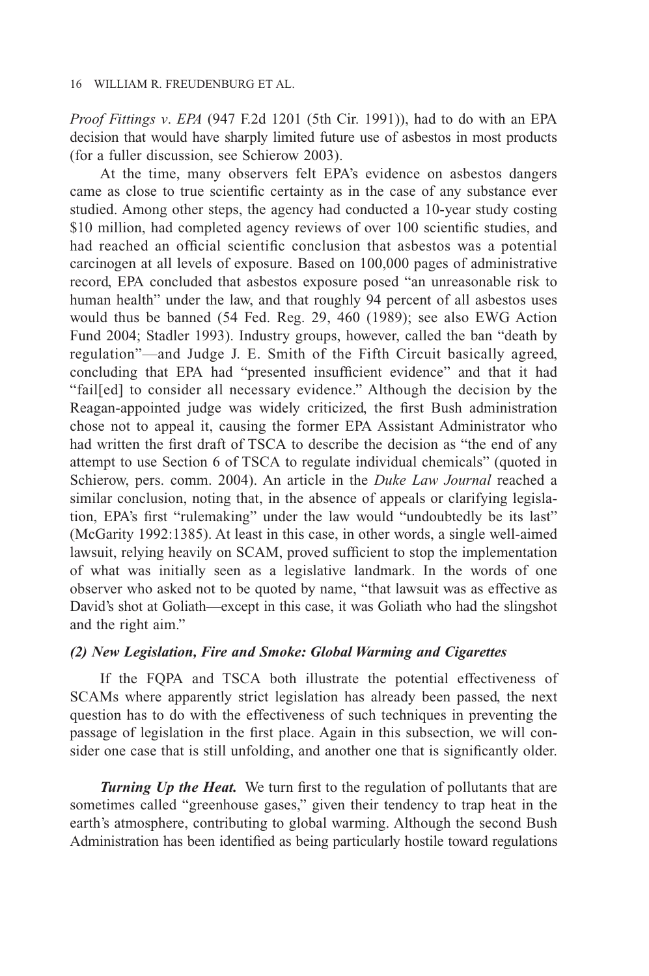*Proof Fittings v*. *EPA* (947 F.2d 1201 (5th Cir. 1991)), had to do with an EPA decision that would have sharply limited future use of asbestos in most products (for a fuller discussion, see Schierow 2003).

At the time, many observers felt EPA's evidence on asbestos dangers came as close to true scientific certainty as in the case of any substance ever studied. Among other steps, the agency had conducted a 10-year study costing \$10 million, had completed agency reviews of over 100 scientific studies, and had reached an official scientific conclusion that asbestos was a potential carcinogen at all levels of exposure. Based on 100,000 pages of administrative record, EPA concluded that asbestos exposure posed "an unreasonable risk to human health" under the law, and that roughly 94 percent of all asbestos uses would thus be banned (54 Fed. Reg. 29, 460 (1989); see also EWG Action Fund 2004; Stadler 1993). Industry groups, however, called the ban "death by regulation"—and Judge J. E. Smith of the Fifth Circuit basically agreed, concluding that EPA had "presented insufficient evidence" and that it had "fail[ed] to consider all necessary evidence." Although the decision by the Reagan-appointed judge was widely criticized, the first Bush administration chose not to appeal it, causing the former EPA Assistant Administrator who had written the first draft of TSCA to describe the decision as "the end of any attempt to use Section 6 of TSCA to regulate individual chemicals" (quoted in Schierow, pers. comm. 2004). An article in the *Duke Law Journal* reached a similar conclusion, noting that, in the absence of appeals or clarifying legislation, EPA's first "rulemaking" under the law would "undoubtedly be its last" (McGarity 1992:1385). At least in this case, in other words, a single well-aimed lawsuit, relying heavily on SCAM, proved sufficient to stop the implementation of what was initially seen as a legislative landmark. In the words of one observer who asked not to be quoted by name, "that lawsuit was as effective as David's shot at Goliath—except in this case, it was Goliath who had the slingshot and the right aim."

## *(2) New Legislation, Fire and Smoke: Global Warming and Cigarettes*

If the FQPA and TSCA both illustrate the potential effectiveness of SCAMs where apparently strict legislation has already been passed, the next question has to do with the effectiveness of such techniques in preventing the passage of legislation in the first place. Again in this subsection, we will consider one case that is still unfolding, and another one that is significantly older.

*Turning Up the Heat.* We turn first to the regulation of pollutants that are sometimes called "greenhouse gases," given their tendency to trap heat in the earth's atmosphere, contributing to global warming. Although the second Bush Administration has been identified as being particularly hostile toward regulations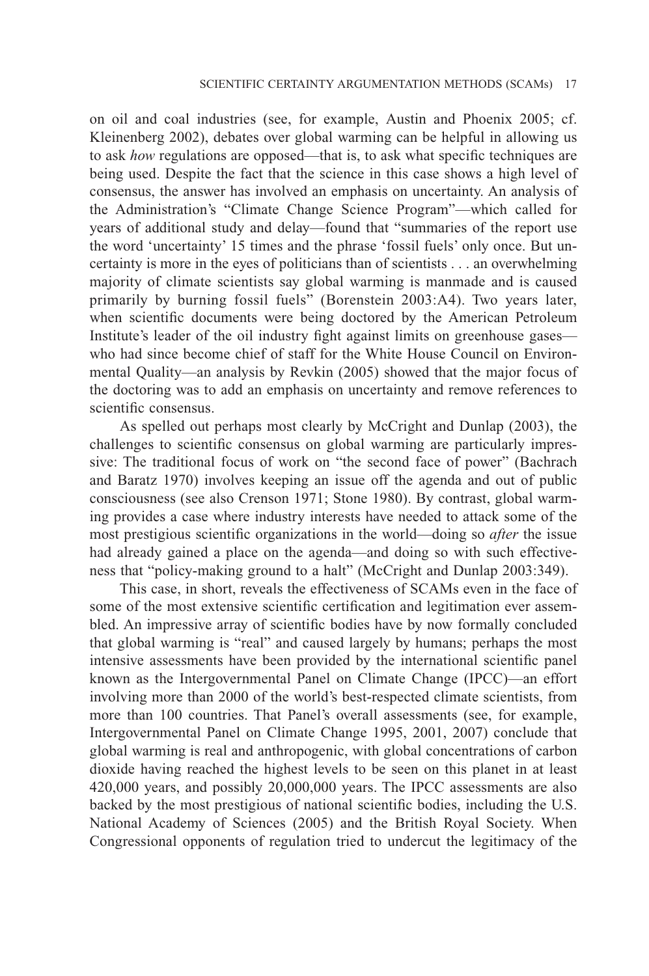on oil and coal industries (see, for example, Austin and Phoenix 2005; cf. Kleinenberg 2002), debates over global warming can be helpful in allowing us to ask *how* regulations are opposed—that is, to ask what specific techniques are being used. Despite the fact that the science in this case shows a high level of consensus, the answer has involved an emphasis on uncertainty. An analysis of the Administration's "Climate Change Science Program"—which called for years of additional study and delay—found that "summaries of the report use the word 'uncertainty' 15 times and the phrase 'fossil fuels' only once. But uncertainty is more in the eyes of politicians than of scientists . . . an overwhelming majority of climate scientists say global warming is manmade and is caused primarily by burning fossil fuels" (Borenstein 2003:A4). Two years later, when scientific documents were being doctored by the American Petroleum Institute's leader of the oil industry fight against limits on greenhouse gases who had since become chief of staff for the White House Council on Environmental Quality—an analysis by Revkin (2005) showed that the major focus of the doctoring was to add an emphasis on uncertainty and remove references to scientific consensus.

As spelled out perhaps most clearly by McCright and Dunlap (2003), the challenges to scientific consensus on global warming are particularly impressive: The traditional focus of work on "the second face of power" (Bachrach and Baratz 1970) involves keeping an issue off the agenda and out of public consciousness (see also Crenson 1971; Stone 1980). By contrast, global warming provides a case where industry interests have needed to attack some of the most prestigious scientific organizations in the world—doing so *after* the issue had already gained a place on the agenda—and doing so with such effectiveness that "policy-making ground to a halt" (McCright and Dunlap 2003:349).

This case, in short, reveals the effectiveness of SCAMs even in the face of some of the most extensive scientific certification and legitimation ever assembled. An impressive array of scientific bodies have by now formally concluded that global warming is "real" and caused largely by humans; perhaps the most intensive assessments have been provided by the international scientific panel known as the Intergovernmental Panel on Climate Change (IPCC)—an effort involving more than 2000 of the world's best-respected climate scientists, from more than 100 countries. That Panel's overall assessments (see, for example, Intergovernmental Panel on Climate Change 1995, 2001, 2007) conclude that global warming is real and anthropogenic, with global concentrations of carbon dioxide having reached the highest levels to be seen on this planet in at least 420,000 years, and possibly 20,000,000 years. The IPCC assessments are also backed by the most prestigious of national scientific bodies, including the U.S. National Academy of Sciences (2005) and the British Royal Society. When Congressional opponents of regulation tried to undercut the legitimacy of the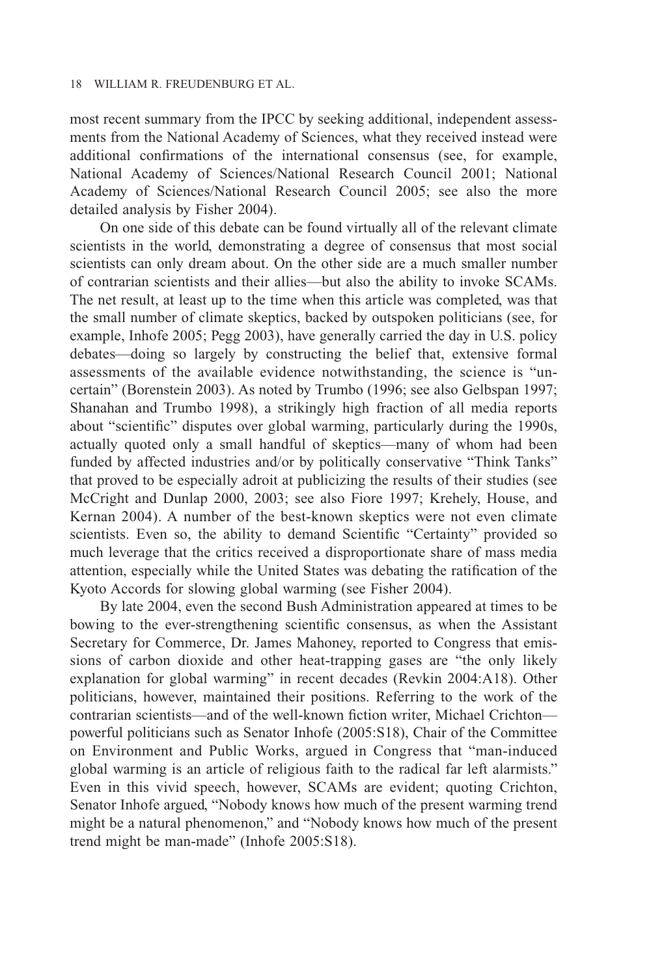most recent summary from the IPCC by seeking additional, independent assessments from the National Academy of Sciences, what they received instead were additional confirmations of the international consensus (see, for example, National Academy of Sciences/National Research Council 2001; National Academy of Sciences/National Research Council 2005; see also the more detailed analysis by Fisher 2004).

On one side of this debate can be found virtually all of the relevant climate scientists in the world, demonstrating a degree of consensus that most social scientists can only dream about. On the other side are a much smaller number of contrarian scientists and their allies—but also the ability to invoke SCAMs. The net result, at least up to the time when this article was completed, was that the small number of climate skeptics, backed by outspoken politicians (see, for example, Inhofe 2005; Pegg 2003), have generally carried the day in U.S. policy debates—doing so largely by constructing the belief that, extensive formal assessments of the available evidence notwithstanding, the science is "uncertain" (Borenstein 2003). As noted by Trumbo (1996; see also Gelbspan 1997; Shanahan and Trumbo 1998), a strikingly high fraction of all media reports about "scientific" disputes over global warming, particularly during the 1990s, actually quoted only a small handful of skeptics—many of whom had been funded by affected industries and/or by politically conservative "Think Tanks" that proved to be especially adroit at publicizing the results of their studies (see McCright and Dunlap 2000, 2003; see also Fiore 1997; Krehely, House, and Kernan 2004). A number of the best-known skeptics were not even climate scientists. Even so, the ability to demand Scientific "Certainty" provided so much leverage that the critics received a disproportionate share of mass media attention, especially while the United States was debating the ratification of the Kyoto Accords for slowing global warming (see Fisher 2004).

By late 2004, even the second Bush Administration appeared at times to be bowing to the ever-strengthening scientific consensus, as when the Assistant Secretary for Commerce, Dr. James Mahoney, reported to Congress that emissions of carbon dioxide and other heat-trapping gases are "the only likely explanation for global warming" in recent decades (Revkin 2004:A18). Other politicians, however, maintained their positions. Referring to the work of the contrarian scientists—and of the well-known fiction writer, Michael Crichton powerful politicians such as Senator Inhofe (2005:S18), Chair of the Committee on Environment and Public Works, argued in Congress that "man-induced global warming is an article of religious faith to the radical far left alarmists." Even in this vivid speech, however, SCAMs are evident; quoting Crichton, Senator Inhofe argued, "Nobody knows how much of the present warming trend might be a natural phenomenon," and "Nobody knows how much of the present trend might be man-made" (Inhofe 2005:S18).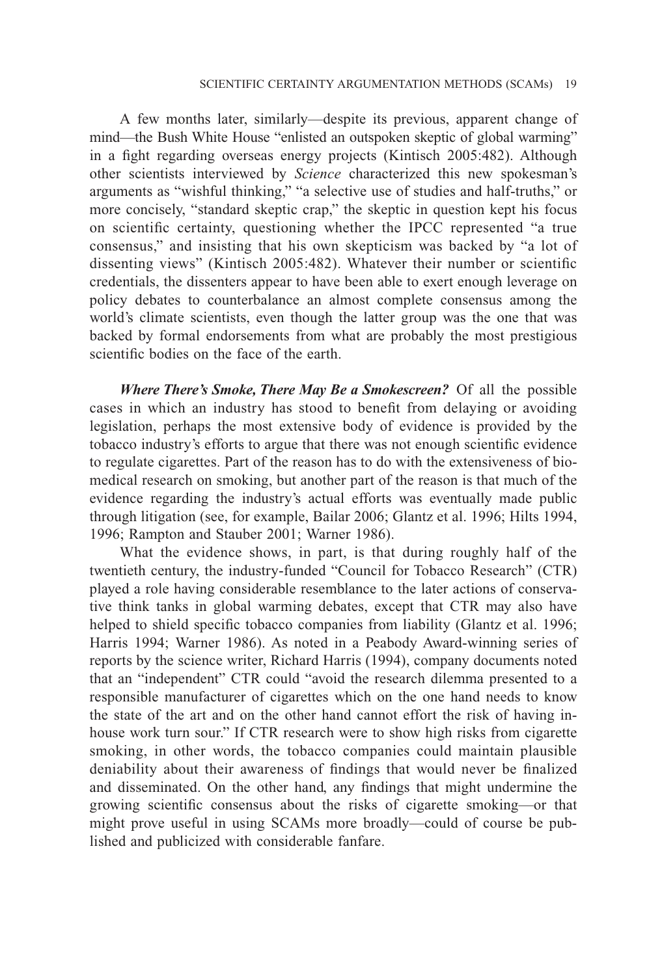A few months later, similarly—despite its previous, apparent change of mind—the Bush White House "enlisted an outspoken skeptic of global warming" in a fight regarding overseas energy projects (Kintisch 2005:482). Although other scientists interviewed by *Science* characterized this new spokesman's arguments as "wishful thinking," "a selective use of studies and half-truths," or more concisely, "standard skeptic crap," the skeptic in question kept his focus on scientific certainty, questioning whether the IPCC represented "a true consensus," and insisting that his own skepticism was backed by "a lot of dissenting views" (Kintisch 2005:482). Whatever their number or scientific credentials, the dissenters appear to have been able to exert enough leverage on policy debates to counterbalance an almost complete consensus among the world's climate scientists, even though the latter group was the one that was backed by formal endorsements from what are probably the most prestigious scientific bodies on the face of the earth.

*Where There's Smoke, There May Be a Smokescreen?* Of all the possible cases in which an industry has stood to benefit from delaying or avoiding legislation, perhaps the most extensive body of evidence is provided by the tobacco industry's efforts to argue that there was not enough scientific evidence to regulate cigarettes. Part of the reason has to do with the extensiveness of biomedical research on smoking, but another part of the reason is that much of the evidence regarding the industry's actual efforts was eventually made public through litigation (see, for example, Bailar 2006; Glantz et al. 1996; Hilts 1994, 1996; Rampton and Stauber 2001; Warner 1986).

What the evidence shows, in part, is that during roughly half of the twentieth century, the industry-funded "Council for Tobacco Research" (CTR) played a role having considerable resemblance to the later actions of conservative think tanks in global warming debates, except that CTR may also have helped to shield specific tobacco companies from liability (Glantz et al. 1996; Harris 1994; Warner 1986). As noted in a Peabody Award-winning series of reports by the science writer, Richard Harris (1994), company documents noted that an "independent" CTR could "avoid the research dilemma presented to a responsible manufacturer of cigarettes which on the one hand needs to know the state of the art and on the other hand cannot effort the risk of having inhouse work turn sour." If CTR research were to show high risks from cigarette smoking, in other words, the tobacco companies could maintain plausible deniability about their awareness of findings that would never be finalized and disseminated. On the other hand, any findings that might undermine the growing scientific consensus about the risks of cigarette smoking—or that might prove useful in using SCAMs more broadly—could of course be published and publicized with considerable fanfare.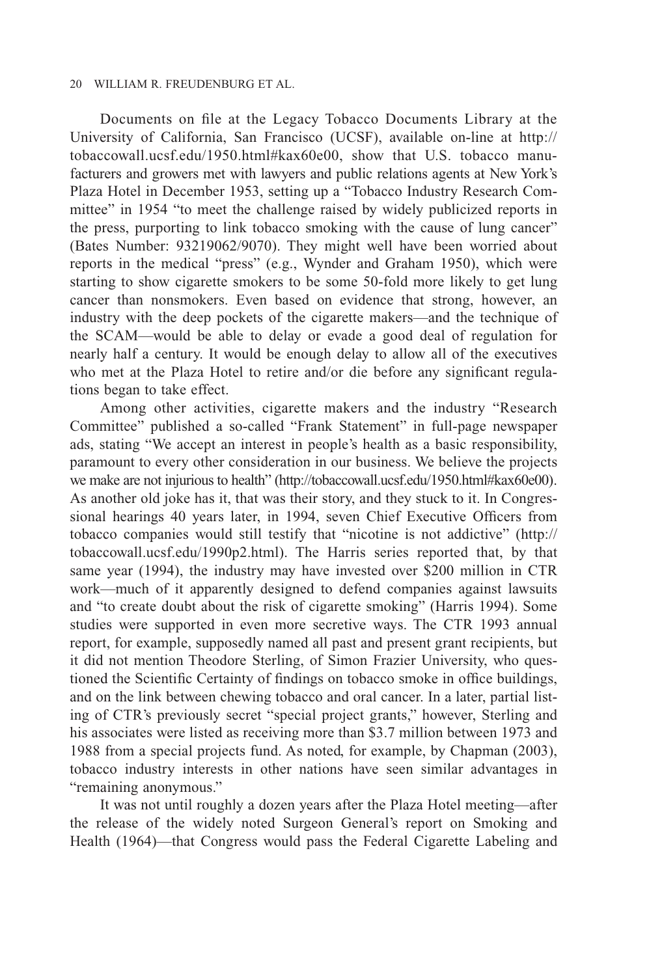Documents on file at the Legacy Tobacco Documents Library at the [University of California, San Francisco \(UCSF\), available on-line at http://](http://tobaccowall.ucsf.edu/1950.html#kax60e00) tobaccowall.ucsf.edu/1950.html#kax60e00, show that U.S. tobacco manufacturers and growers met with lawyers and public relations agents at New York's Plaza Hotel in December 1953, setting up a "Tobacco Industry Research Committee" in 1954 "to meet the challenge raised by widely publicized reports in the press, purporting to link tobacco smoking with the cause of lung cancer" (Bates Number: 93219062/9070). They might well have been worried about reports in the medical "press" (e.g., Wynder and Graham 1950), which were starting to show cigarette smokers to be some 50-fold more likely to get lung cancer than nonsmokers. Even based on evidence that strong, however, an industry with the deep pockets of the cigarette makers—and the technique of the SCAM—would be able to delay or evade a good deal of regulation for nearly half a century. It would be enough delay to allow all of the executives who met at the Plaza Hotel to retire and/or die before any significant regulations began to take effect.

Among other activities, cigarette makers and the industry "Research Committee" published a so-called "Frank Statement" in full-page newspaper ads, stating "We accept an interest in people's health as a basic responsibility, paramount to every other consideration in our business. We believe the projects we make are not injurious to health" [\(http://tobaccowall.ucsf.edu/1950.html#kax60e00\).](http://tobaccowall.ucsf.edu/1950.html#kax60e00) As another old joke has it, that was their story, and they stuck to it. In Congressional hearings 40 years later, in 1994, seven Chief Executive Officers from [tobacco companies would still testify that "nicotine is not addictive" \(http://](http://tobaccowall.ucsf.edu/1990p2.html) tobaccowall.ucsf.edu/1990p2.html). The Harris series reported that, by that same year (1994), the industry may have invested over \$200 million in CTR work—much of it apparently designed to defend companies against lawsuits and "to create doubt about the risk of cigarette smoking" (Harris 1994). Some studies were supported in even more secretive ways. The CTR 1993 annual report, for example, supposedly named all past and present grant recipients, but it did not mention Theodore Sterling, of Simon Frazier University, who questioned the Scientific Certainty of findings on tobacco smoke in office buildings, and on the link between chewing tobacco and oral cancer. In a later, partial listing of CTR's previously secret "special project grants," however, Sterling and his associates were listed as receiving more than \$3.7 million between 1973 and 1988 from a special projects fund. As noted, for example, by Chapman (2003), tobacco industry interests in other nations have seen similar advantages in "remaining anonymous."

It was not until roughly a dozen years after the Plaza Hotel meeting—after the release of the widely noted Surgeon General's report on Smoking and Health (1964)—that Congress would pass the Federal Cigarette Labeling and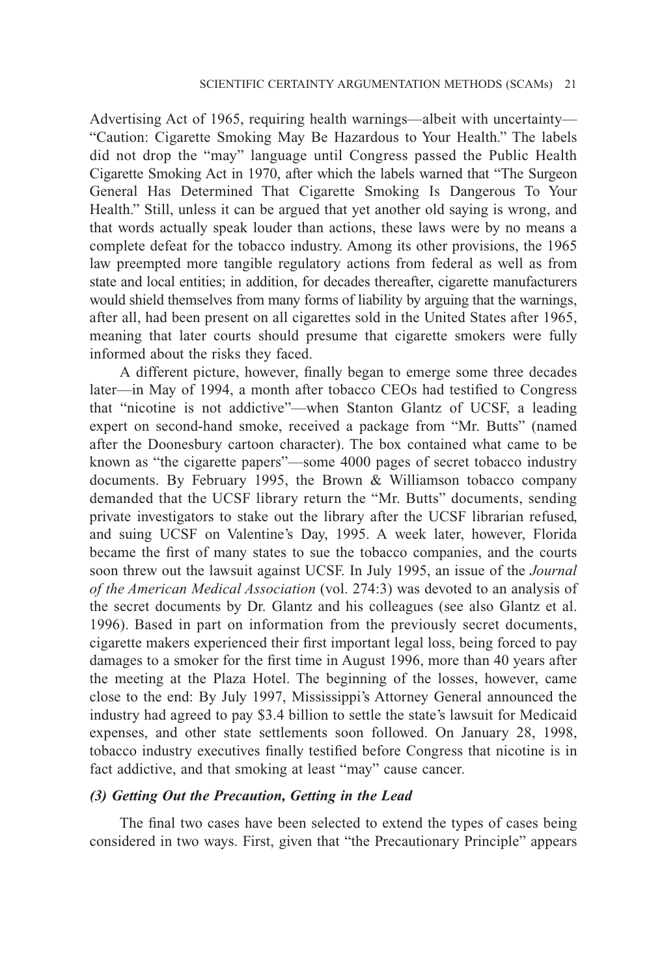Advertising Act of 1965, requiring health warnings—albeit with uncertainty— "Caution: Cigarette Smoking May Be Hazardous to Your Health." The labels did not drop the "may" language until Congress passed the Public Health Cigarette Smoking Act in 1970, after which the labels warned that "The Surgeon General Has Determined That Cigarette Smoking Is Dangerous To Your Health." Still, unless it can be argued that yet another old saying is wrong, and that words actually speak louder than actions, these laws were by no means a complete defeat for the tobacco industry. Among its other provisions, the 1965 law preempted more tangible regulatory actions from federal as well as from state and local entities; in addition, for decades thereafter, cigarette manufacturers would shield themselves from many forms of liability by arguing that the warnings, after all, had been present on all cigarettes sold in the United States after 1965, meaning that later courts should presume that cigarette smokers were fully informed about the risks they faced.

A different picture, however, finally began to emerge some three decades later—in May of 1994, a month after tobacco CEOs had testified to Congress that "nicotine is not addictive"—when Stanton Glantz of UCSF, a leading expert on second-hand smoke, received a package from "Mr. Butts" (named after the Doonesbury cartoon character). The box contained what came to be known as "the cigarette papers"—some 4000 pages of secret tobacco industry documents. By February 1995, the Brown & Williamson tobacco company demanded that the UCSF library return the "Mr. Butts" documents, sending private investigators to stake out the library after the UCSF librarian refused, and suing UCSF on Valentine's Day, 1995. A week later, however, Florida became the first of many states to sue the tobacco companies, and the courts soon threw out the lawsuit against UCSF. In July 1995, an issue of the *Journal of the American Medical Association* (vol. 274:3) was devoted to an analysis of the secret documents by Dr. Glantz and his colleagues (see also Glantz et al. 1996). Based in part on information from the previously secret documents, cigarette makers experienced their first important legal loss, being forced to pay damages to a smoker for the first time in August 1996, more than 40 years after the meeting at the Plaza Hotel. The beginning of the losses, however, came close to the end: By July 1997, Mississippi's Attorney General announced the industry had agreed to pay \$3.4 billion to settle the state's lawsuit for Medicaid expenses, and other state settlements soon followed. On January 28, 1998, tobacco industry executives finally testified before Congress that nicotine is in fact addictive, and that smoking at least "may" cause cancer.

## *(3) Getting Out the Precaution, Getting in the Lead*

The final two cases have been selected to extend the types of cases being considered in two ways. First, given that "the Precautionary Principle" appears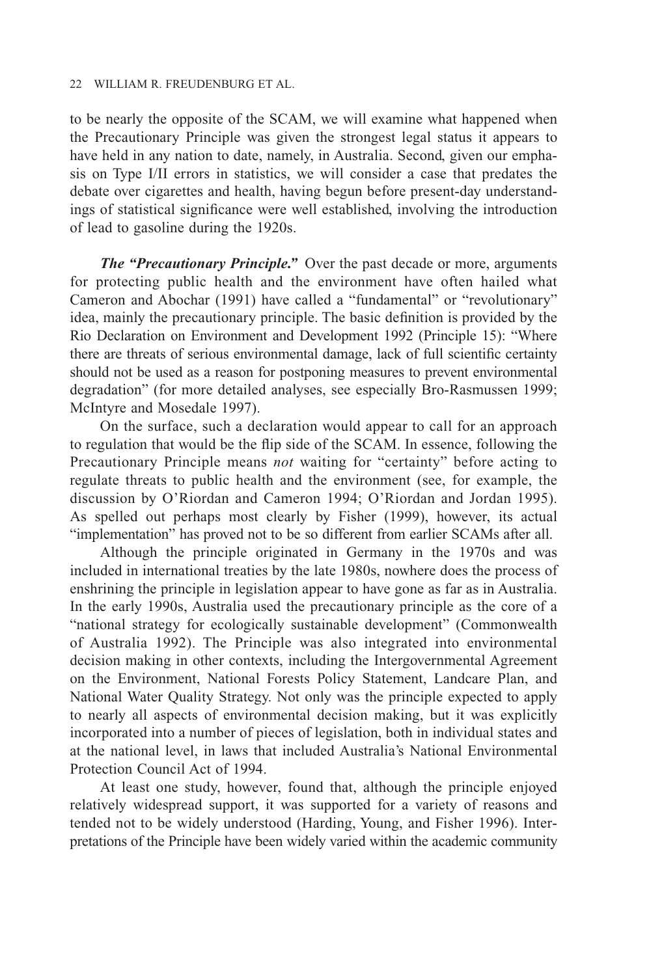to be nearly the opposite of the SCAM, we will examine what happened when the Precautionary Principle was given the strongest legal status it appears to have held in any nation to date, namely, in Australia. Second, given our emphasis on Type I/II errors in statistics, we will consider a case that predates the debate over cigarettes and health, having begun before present-day understandings of statistical significance were well established, involving the introduction of lead to gasoline during the 1920s.

*The "Precautionary Principle."* Over the past decade or more, arguments for protecting public health and the environment have often hailed what Cameron and Abochar (1991) have called a "fundamental" or "revolutionary" idea, mainly the precautionary principle. The basic definition is provided by the Rio Declaration on Environment and Development 1992 (Principle 15): "Where there are threats of serious environmental damage, lack of full scientific certainty should not be used as a reason for postponing measures to prevent environmental degradation" (for more detailed analyses, see especially Bro-Rasmussen 1999; McIntyre and Mosedale 1997).

On the surface, such a declaration would appear to call for an approach to regulation that would be the flip side of the SCAM. In essence, following the Precautionary Principle means *not* waiting for "certainty" before acting to regulate threats to public health and the environment (see, for example, the discussion by O'Riordan and Cameron 1994; O'Riordan and Jordan 1995). As spelled out perhaps most clearly by Fisher (1999), however, its actual "implementation" has proved not to be so different from earlier SCAMs after all.

Although the principle originated in Germany in the 1970s and was included in international treaties by the late 1980s, nowhere does the process of enshrining the principle in legislation appear to have gone as far as in Australia. In the early 1990s, Australia used the precautionary principle as the core of a "national strategy for ecologically sustainable development" (Commonwealth of Australia 1992). The Principle was also integrated into environmental decision making in other contexts, including the Intergovernmental Agreement on the Environment, National Forests Policy Statement, Landcare Plan, and National Water Quality Strategy. Not only was the principle expected to apply to nearly all aspects of environmental decision making, but it was explicitly incorporated into a number of pieces of legislation, both in individual states and at the national level, in laws that included Australia's National Environmental Protection Council Act of 1994.

At least one study, however, found that, although the principle enjoyed relatively widespread support, it was supported for a variety of reasons and tended not to be widely understood (Harding, Young, and Fisher 1996). Interpretations of the Principle have been widely varied within the academic community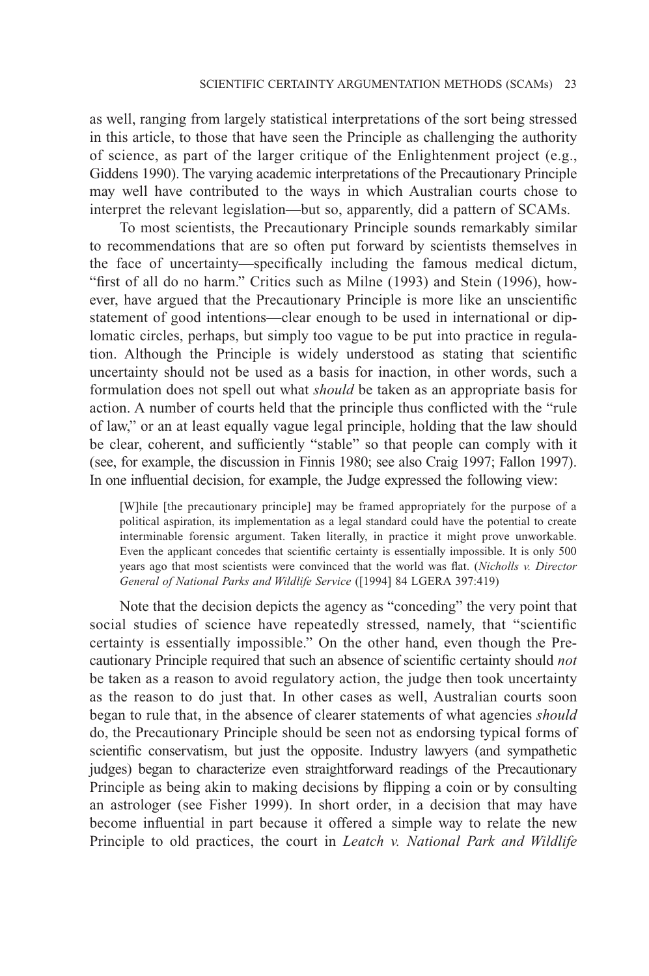as well, ranging from largely statistical interpretations of the sort being stressed in this article, to those that have seen the Principle as challenging the authority of science, as part of the larger critique of the Enlightenment project (e.g., Giddens 1990). The varying academic interpretations of the Precautionary Principle may well have contributed to the ways in which Australian courts chose to interpret the relevant legislation—but so, apparently, did a pattern of SCAMs.

To most scientists, the Precautionary Principle sounds remarkably similar to recommendations that are so often put forward by scientists themselves in the face of uncertainty—specifically including the famous medical dictum, "first of all do no harm." Critics such as Milne (1993) and Stein (1996), however, have argued that the Precautionary Principle is more like an unscientific statement of good intentions—clear enough to be used in international or diplomatic circles, perhaps, but simply too vague to be put into practice in regulation. Although the Principle is widely understood as stating that scientific uncertainty should not be used as a basis for inaction, in other words, such a formulation does not spell out what *should* be taken as an appropriate basis for action. A number of courts held that the principle thus conflicted with the "rule of law," or an at least equally vague legal principle, holding that the law should be clear, coherent, and sufficiently "stable" so that people can comply with it (see, for example, the discussion in Finnis 1980; see also Craig 1997; Fallon 1997). In one influential decision, for example, the Judge expressed the following view:

[W]hile [the precautionary principle] may be framed appropriately for the purpose of a political aspiration, its implementation as a legal standard could have the potential to create interminable forensic argument. Taken literally, in practice it might prove unworkable. Even the applicant concedes that scientific certainty is essentially impossible. It is only 500 years ago that most scientists were convinced that the world was flat. (*Nicholls v. Director General of National Parks and Wildlife Service* ([1994] 84 LGERA 397:419)

Note that the decision depicts the agency as "conceding" the very point that social studies of science have repeatedly stressed, namely, that "scientific certainty is essentially impossible." On the other hand, even though the Precautionary Principle required that such an absence of scientific certainty should *not* be taken as a reason to avoid regulatory action, the judge then took uncertainty as the reason to do just that. In other cases as well, Australian courts soon began to rule that, in the absence of clearer statements of what agencies *should* do, the Precautionary Principle should be seen not as endorsing typical forms of scientific conservatism, but just the opposite. Industry lawyers (and sympathetic judges) began to characterize even straightforward readings of the Precautionary Principle as being akin to making decisions by flipping a coin or by consulting an astrologer (see Fisher 1999). In short order, in a decision that may have become influential in part because it offered a simple way to relate the new Principle to old practices, the court in *Leatch v. National Park and Wildlife*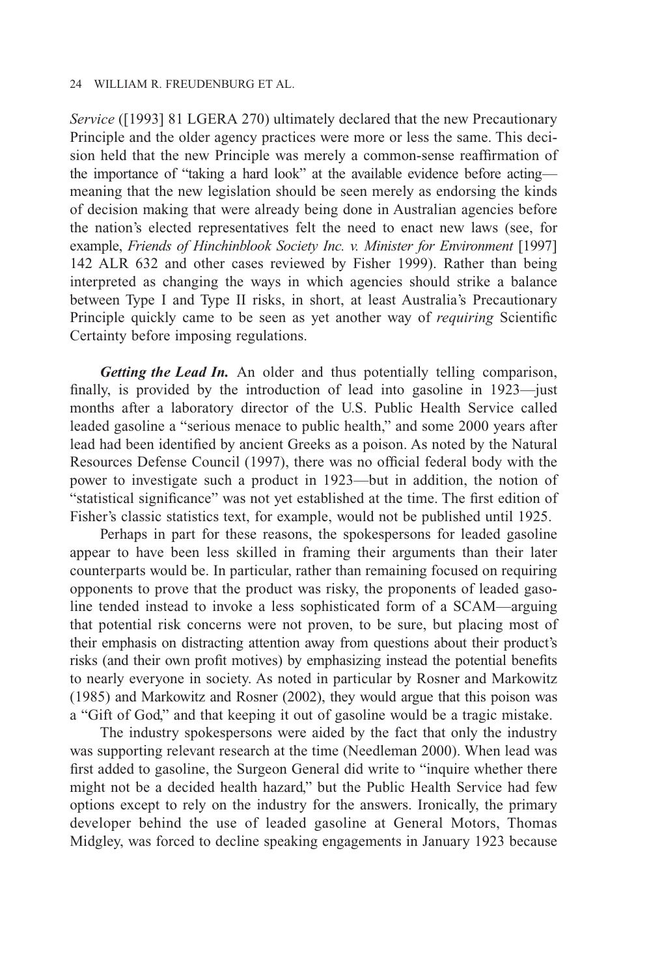*Service* ([1993] 81 LGERA 270) ultimately declared that the new Precautionary Principle and the older agency practices were more or less the same. This decision held that the new Principle was merely a common-sense reaffirmation of the importance of "taking a hard look" at the available evidence before acting meaning that the new legislation should be seen merely as endorsing the kinds of decision making that were already being done in Australian agencies before the nation's elected representatives felt the need to enact new laws (see, for example, *Friends of Hinchinblook Society Inc. v. Minister for Environment* [1997] 142 ALR 632 and other cases reviewed by Fisher 1999). Rather than being interpreted as changing the ways in which agencies should strike a balance between Type I and Type II risks, in short, at least Australia's Precautionary Principle quickly came to be seen as yet another way of *requiring* Scientific Certainty before imposing regulations.

Getting the Lead In. An older and thus potentially telling comparison, finally, is provided by the introduction of lead into gasoline in 1923—just months after a laboratory director of the U.S. Public Health Service called leaded gasoline a "serious menace to public health," and some 2000 years after lead had been identified by ancient Greeks as a poison. As noted by the Natural Resources Defense Council (1997), there was no official federal body with the power to investigate such a product in 1923—but in addition, the notion of "statistical significance" was not yet established at the time. The first edition of Fisher's classic statistics text, for example, would not be published until 1925.

Perhaps in part for these reasons, the spokespersons for leaded gasoline appear to have been less skilled in framing their arguments than their later counterparts would be. In particular, rather than remaining focused on requiring opponents to prove that the product was risky, the proponents of leaded gasoline tended instead to invoke a less sophisticated form of a SCAM—arguing that potential risk concerns were not proven, to be sure, but placing most of their emphasis on distracting attention away from questions about their product's risks (and their own profit motives) by emphasizing instead the potential benefits to nearly everyone in society. As noted in particular by Rosner and Markowitz (1985) and Markowitz and Rosner (2002), they would argue that this poison was a "Gift of God," and that keeping it out of gasoline would be a tragic mistake.

The industry spokespersons were aided by the fact that only the industry was supporting relevant research at the time (Needleman 2000). When lead was first added to gasoline, the Surgeon General did write to "inquire whether there might not be a decided health hazard," but the Public Health Service had few options except to rely on the industry for the answers. Ironically, the primary developer behind the use of leaded gasoline at General Motors, Thomas Midgley, was forced to decline speaking engagements in January 1923 because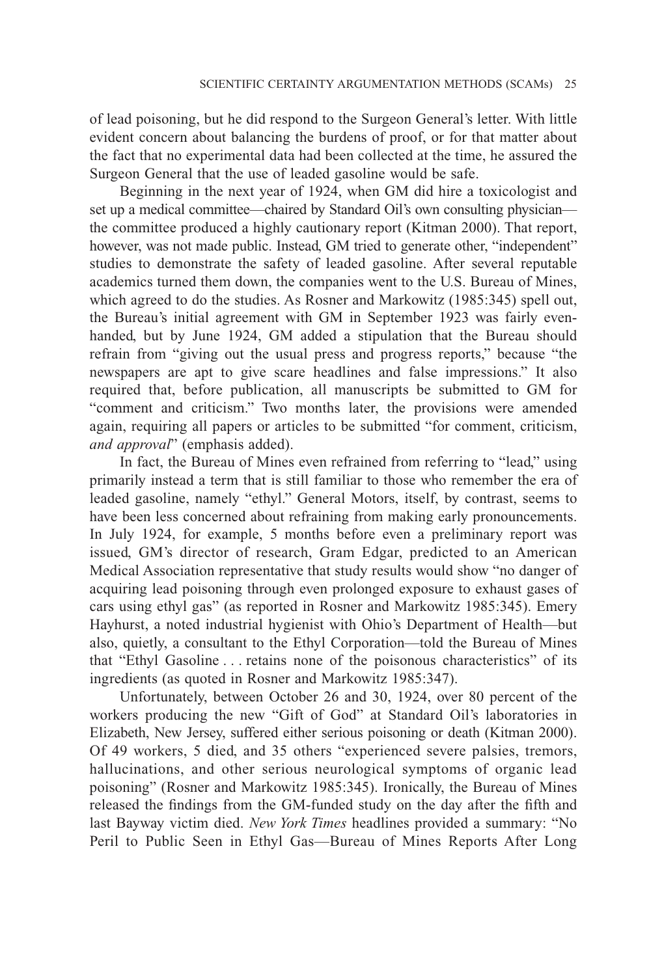of lead poisoning, but he did respond to the Surgeon General's letter. With little evident concern about balancing the burdens of proof, or for that matter about the fact that no experimental data had been collected at the time, he assured the Surgeon General that the use of leaded gasoline would be safe.

Beginning in the next year of 1924, when GM did hire a toxicologist and set up a medical committee—chaired by Standard Oil's own consulting physician the committee produced a highly cautionary report (Kitman 2000). That report, however, was not made public. Instead, GM tried to generate other, "independent" studies to demonstrate the safety of leaded gasoline. After several reputable academics turned them down, the companies went to the U.S. Bureau of Mines, which agreed to do the studies. As Rosner and Markowitz (1985:345) spell out, the Bureau's initial agreement with GM in September 1923 was fairly evenhanded, but by June 1924, GM added a stipulation that the Bureau should refrain from "giving out the usual press and progress reports," because "the newspapers are apt to give scare headlines and false impressions." It also required that, before publication, all manuscripts be submitted to GM for "comment and criticism." Two months later, the provisions were amended again, requiring all papers or articles to be submitted "for comment, criticism, *and approval*" (emphasis added).

In fact, the Bureau of Mines even refrained from referring to "lead," using primarily instead a term that is still familiar to those who remember the era of leaded gasoline, namely "ethyl." General Motors, itself, by contrast, seems to have been less concerned about refraining from making early pronouncements. In July 1924, for example, 5 months before even a preliminary report was issued, GM's director of research, Gram Edgar, predicted to an American Medical Association representative that study results would show "no danger of acquiring lead poisoning through even prolonged exposure to exhaust gases of cars using ethyl gas" (as reported in Rosner and Markowitz 1985:345). Emery Hayhurst, a noted industrial hygienist with Ohio's Department of Health—but also, quietly, a consultant to the Ethyl Corporation—told the Bureau of Mines that "Ethyl Gasoline . . . retains none of the poisonous characteristics" of its ingredients (as quoted in Rosner and Markowitz 1985:347).

Unfortunately, between October 26 and 30, 1924, over 80 percent of the workers producing the new "Gift of God" at Standard Oil's laboratories in Elizabeth, New Jersey, suffered either serious poisoning or death (Kitman 2000). Of 49 workers, 5 died, and 35 others "experienced severe palsies, tremors, hallucinations, and other serious neurological symptoms of organic lead poisoning" (Rosner and Markowitz 1985:345). Ironically, the Bureau of Mines released the findings from the GM-funded study on the day after the fifth and last Bayway victim died. *New York Times* headlines provided a summary: "No Peril to Public Seen in Ethyl Gas—Bureau of Mines Reports After Long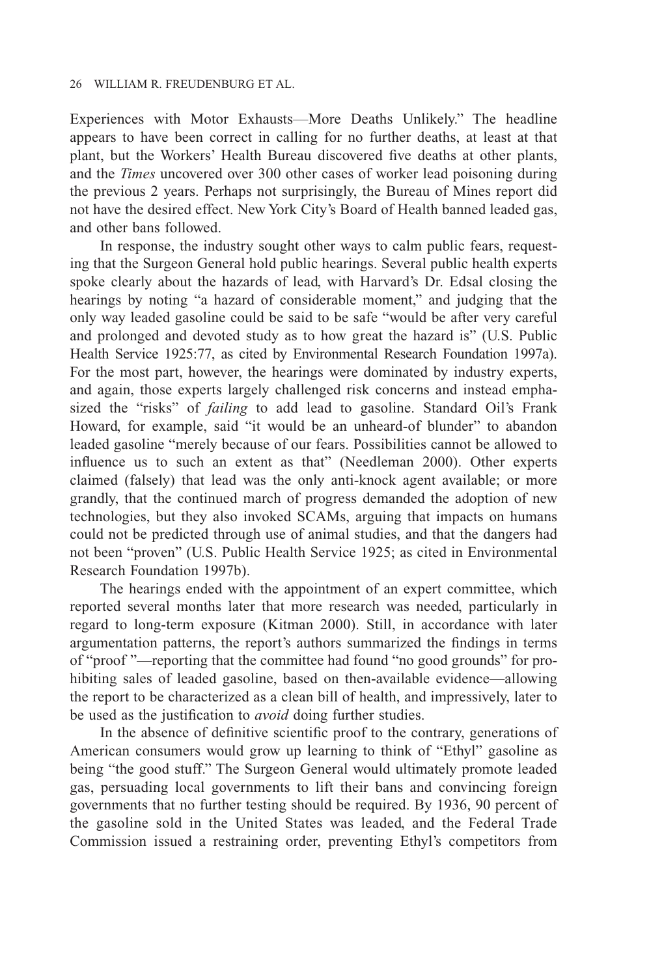Experiences with Motor Exhausts—More Deaths Unlikely." The headline appears to have been correct in calling for no further deaths, at least at that plant, but the Workers' Health Bureau discovered five deaths at other plants, and the *Times* uncovered over 300 other cases of worker lead poisoning during the previous 2 years. Perhaps not surprisingly, the Bureau of Mines report did not have the desired effect. New York City's Board of Health banned leaded gas, and other bans followed.

In response, the industry sought other ways to calm public fears, requesting that the Surgeon General hold public hearings. Several public health experts spoke clearly about the hazards of lead, with Harvard's Dr. Edsal closing the hearings by noting "a hazard of considerable moment," and judging that the only way leaded gasoline could be said to be safe "would be after very careful and prolonged and devoted study as to how great the hazard is" (U.S. Public Health Service 1925:77, as cited by Environmental Research Foundation 1997a). For the most part, however, the hearings were dominated by industry experts, and again, those experts largely challenged risk concerns and instead emphasized the "risks" of *failing* to add lead to gasoline. Standard Oil's Frank Howard, for example, said "it would be an unheard-of blunder" to abandon leaded gasoline "merely because of our fears. Possibilities cannot be allowed to influence us to such an extent as that" (Needleman 2000). Other experts claimed (falsely) that lead was the only anti-knock agent available; or more grandly, that the continued march of progress demanded the adoption of new technologies, but they also invoked SCAMs, arguing that impacts on humans could not be predicted through use of animal studies, and that the dangers had not been "proven" (U.S. Public Health Service 1925; as cited in Environmental Research Foundation 1997b).

The hearings ended with the appointment of an expert committee, which reported several months later that more research was needed, particularly in regard to long-term exposure (Kitman 2000). Still, in accordance with later argumentation patterns, the report's authors summarized the findings in terms of "proof "—reporting that the committee had found "no good grounds" for prohibiting sales of leaded gasoline, based on then-available evidence—allowing the report to be characterized as a clean bill of health, and impressively, later to be used as the justification to *avoid* doing further studies.

In the absence of definitive scientific proof to the contrary, generations of American consumers would grow up learning to think of "Ethyl" gasoline as being "the good stuff." The Surgeon General would ultimately promote leaded gas, persuading local governments to lift their bans and convincing foreign governments that no further testing should be required. By 1936, 90 percent of the gasoline sold in the United States was leaded, and the Federal Trade Commission issued a restraining order, preventing Ethyl's competitors from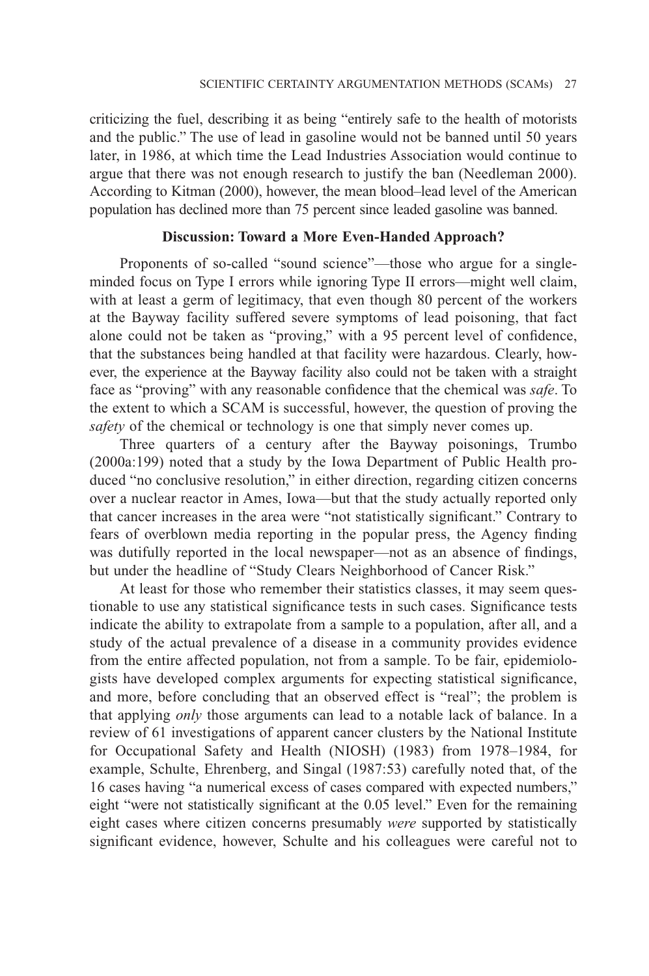criticizing the fuel, describing it as being "entirely safe to the health of motorists and the public." The use of lead in gasoline would not be banned until 50 years later, in 1986, at which time the Lead Industries Association would continue to argue that there was not enough research to justify the ban (Needleman 2000). According to Kitman (2000), however, the mean blood–lead level of the American population has declined more than 75 percent since leaded gasoline was banned.

## **Discussion: Toward a More Even-Handed Approach?**

Proponents of so-called "sound science"—those who argue for a singleminded focus on Type I errors while ignoring Type II errors—might well claim, with at least a germ of legitimacy, that even though 80 percent of the workers at the Bayway facility suffered severe symptoms of lead poisoning, that fact alone could not be taken as "proving," with a 95 percent level of confidence, that the substances being handled at that facility were hazardous. Clearly, however, the experience at the Bayway facility also could not be taken with a straight face as "proving" with any reasonable confidence that the chemical was *safe*. To the extent to which a SCAM is successful, however, the question of proving the *safety* of the chemical or technology is one that simply never comes up.

Three quarters of a century after the Bayway poisonings, Trumbo (2000a:199) noted that a study by the Iowa Department of Public Health produced "no conclusive resolution," in either direction, regarding citizen concerns over a nuclear reactor in Ames, Iowa—but that the study actually reported only that cancer increases in the area were "not statistically significant." Contrary to fears of overblown media reporting in the popular press, the Agency finding was dutifully reported in the local newspaper—not as an absence of findings, but under the headline of "Study Clears Neighborhood of Cancer Risk."

At least for those who remember their statistics classes, it may seem questionable to use any statistical significance tests in such cases. Significance tests indicate the ability to extrapolate from a sample to a population, after all, and a study of the actual prevalence of a disease in a community provides evidence from the entire affected population, not from a sample. To be fair, epidemiologists have developed complex arguments for expecting statistical significance, and more, before concluding that an observed effect is "real"; the problem is that applying *only* those arguments can lead to a notable lack of balance. In a review of 61 investigations of apparent cancer clusters by the National Institute for Occupational Safety and Health (NIOSH) (1983) from 1978–1984, for example, Schulte, Ehrenberg, and Singal (1987:53) carefully noted that, of the 16 cases having "a numerical excess of cases compared with expected numbers," eight "were not statistically significant at the 0.05 level." Even for the remaining eight cases where citizen concerns presumably *were* supported by statistically significant evidence, however, Schulte and his colleagues were careful not to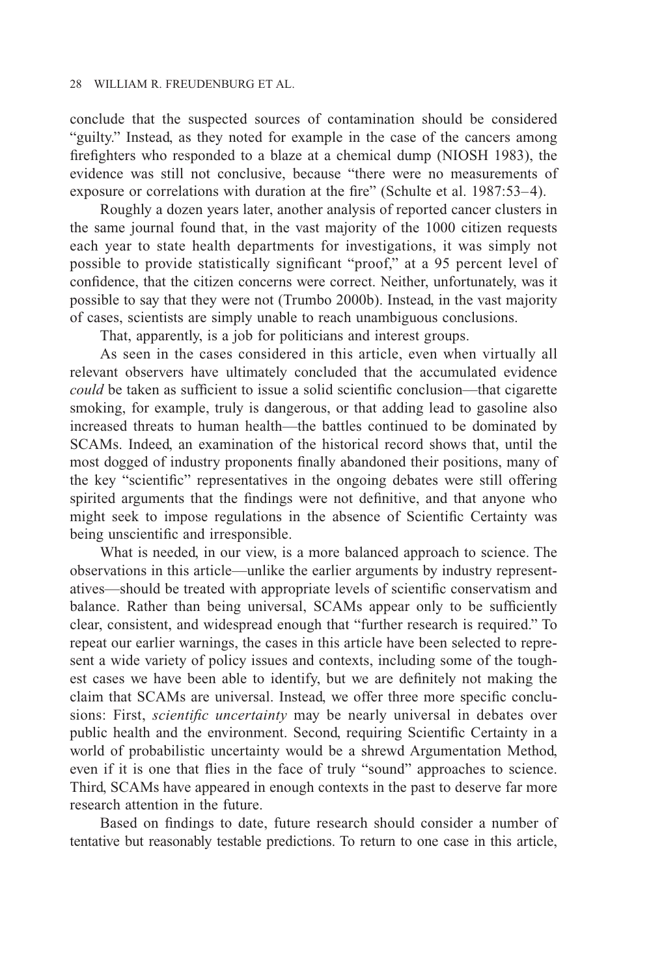conclude that the suspected sources of contamination should be considered "guilty." Instead, as they noted for example in the case of the cancers among firefighters who responded to a blaze at a chemical dump (NIOSH 1983), the evidence was still not conclusive, because "there were no measurements of exposure or correlations with duration at the fire" (Schulte et al. 1987:53–4).

Roughly a dozen years later, another analysis of reported cancer clusters in the same journal found that, in the vast majority of the 1000 citizen requests each year to state health departments for investigations, it was simply not possible to provide statistically significant "proof," at a 95 percent level of confidence, that the citizen concerns were correct. Neither, unfortunately, was it possible to say that they were not (Trumbo 2000b). Instead, in the vast majority of cases, scientists are simply unable to reach unambiguous conclusions.

That, apparently, is a job for politicians and interest groups.

As seen in the cases considered in this article, even when virtually all relevant observers have ultimately concluded that the accumulated evidence *could* be taken as sufficient to issue a solid scientific conclusion—that cigarette smoking, for example, truly is dangerous, or that adding lead to gasoline also increased threats to human health—the battles continued to be dominated by SCAMs. Indeed, an examination of the historical record shows that, until the most dogged of industry proponents finally abandoned their positions, many of the key "scientific" representatives in the ongoing debates were still offering spirited arguments that the findings were not definitive, and that anyone who might seek to impose regulations in the absence of Scientific Certainty was being unscientific and irresponsible.

What is needed, in our view, is a more balanced approach to science. The observations in this article—unlike the earlier arguments by industry representatives—should be treated with appropriate levels of scientific conservatism and balance. Rather than being universal, SCAMs appear only to be sufficiently clear, consistent, and widespread enough that "further research is required." To repeat our earlier warnings, the cases in this article have been selected to represent a wide variety of policy issues and contexts, including some of the toughest cases we have been able to identify, but we are definitely not making the claim that SCAMs are universal. Instead, we offer three more specific conclusions: First, *scientific uncertainty* may be nearly universal in debates over public health and the environment. Second, requiring Scientific Certainty in a world of probabilistic uncertainty would be a shrewd Argumentation Method, even if it is one that flies in the face of truly "sound" approaches to science. Third, SCAMs have appeared in enough contexts in the past to deserve far more research attention in the future.

Based on findings to date, future research should consider a number of tentative but reasonably testable predictions. To return to one case in this article,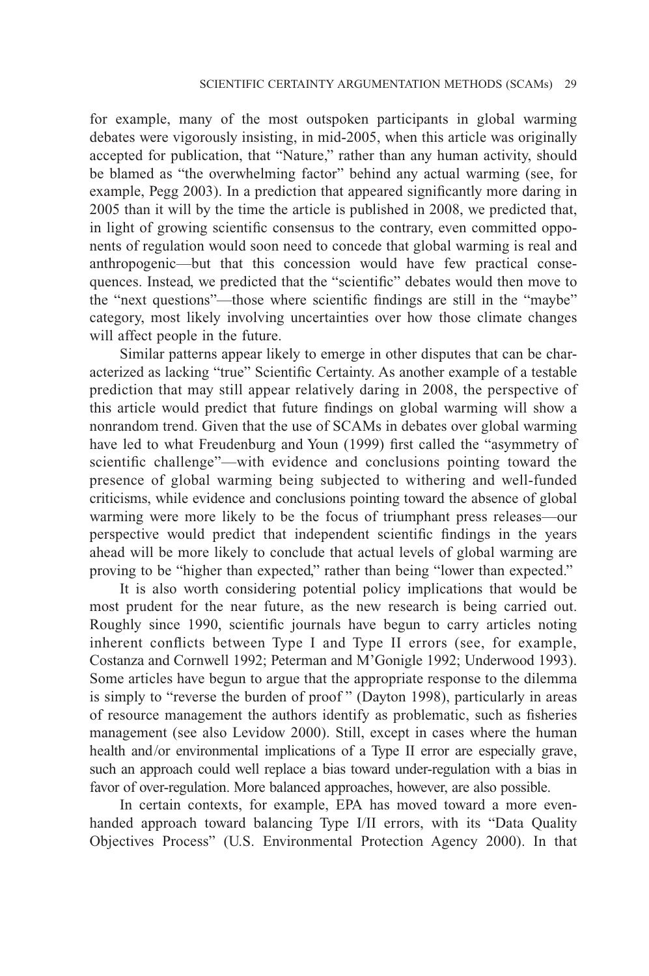for example, many of the most outspoken participants in global warming debates were vigorously insisting, in mid-2005, when this article was originally accepted for publication, that "Nature," rather than any human activity, should be blamed as "the overwhelming factor" behind any actual warming (see, for example, Pegg 2003). In a prediction that appeared significantly more daring in 2005 than it will by the time the article is published in 2008, we predicted that, in light of growing scientific consensus to the contrary, even committed opponents of regulation would soon need to concede that global warming is real and anthropogenic—but that this concession would have few practical consequences. Instead, we predicted that the "scientific" debates would then move to the "next questions"—those where scientific findings are still in the "maybe" category, most likely involving uncertainties over how those climate changes will affect people in the future.

Similar patterns appear likely to emerge in other disputes that can be characterized as lacking "true" Scientific Certainty. As another example of a testable prediction that may still appear relatively daring in 2008, the perspective of this article would predict that future findings on global warming will show a nonrandom trend. Given that the use of SCAMs in debates over global warming have led to what Freudenburg and Youn (1999) first called the "asymmetry of scientific challenge"—with evidence and conclusions pointing toward the presence of global warming being subjected to withering and well-funded criticisms, while evidence and conclusions pointing toward the absence of global warming were more likely to be the focus of triumphant press releases—our perspective would predict that independent scientific findings in the years ahead will be more likely to conclude that actual levels of global warming are proving to be "higher than expected," rather than being "lower than expected."

It is also worth considering potential policy implications that would be most prudent for the near future, as the new research is being carried out. Roughly since 1990, scientific journals have begun to carry articles noting inherent conflicts between Type I and Type II errors (see, for example, Costanza and Cornwell 1992; Peterman and M'Gonigle 1992; Underwood 1993). Some articles have begun to argue that the appropriate response to the dilemma is simply to "reverse the burden of proof " (Dayton 1998), particularly in areas of resource management the authors identify as problematic, such as fisheries management (see also Levidow 2000). Still, except in cases where the human health and/or environmental implications of a Type II error are especially grave, such an approach could well replace a bias toward under-regulation with a bias in favor of over-regulation. More balanced approaches, however, are also possible.

In certain contexts, for example, EPA has moved toward a more evenhanded approach toward balancing Type I/II errors, with its "Data Quality Objectives Process" (U.S. Environmental Protection Agency 2000). In that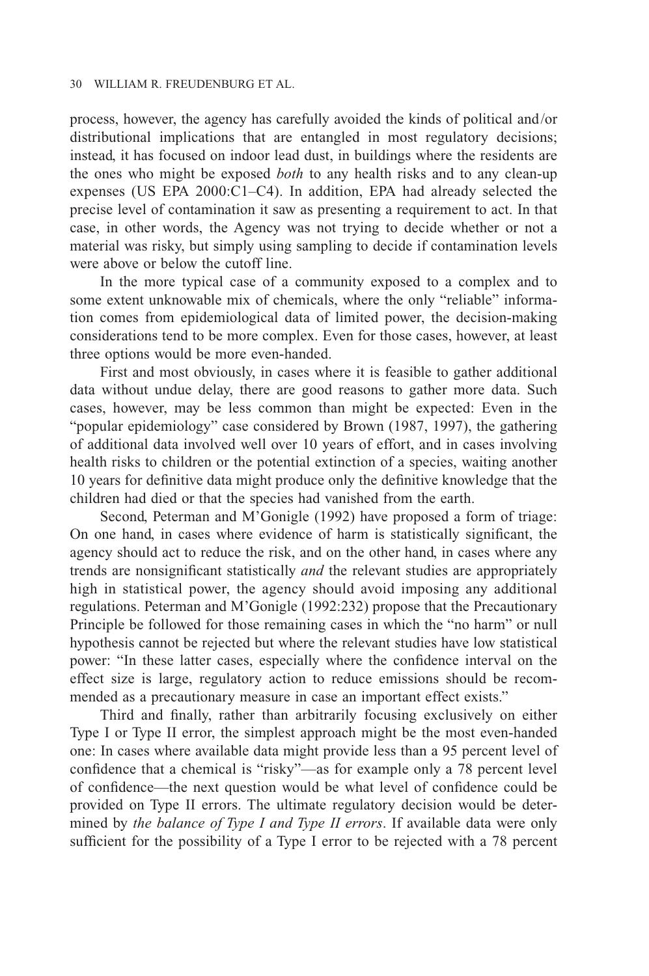process, however, the agency has carefully avoided the kinds of political and/or distributional implications that are entangled in most regulatory decisions; instead, it has focused on indoor lead dust, in buildings where the residents are the ones who might be exposed *both* to any health risks and to any clean-up expenses (US EPA 2000:C1–C4). In addition, EPA had already selected the precise level of contamination it saw as presenting a requirement to act. In that case, in other words, the Agency was not trying to decide whether or not a material was risky, but simply using sampling to decide if contamination levels were above or below the cutoff line.

In the more typical case of a community exposed to a complex and to some extent unknowable mix of chemicals, where the only "reliable" information comes from epidemiological data of limited power, the decision-making considerations tend to be more complex. Even for those cases, however, at least three options would be more even-handed.

First and most obviously, in cases where it is feasible to gather additional data without undue delay, there are good reasons to gather more data. Such cases, however, may be less common than might be expected: Even in the "popular epidemiology" case considered by Brown (1987, 1997), the gathering of additional data involved well over 10 years of effort, and in cases involving health risks to children or the potential extinction of a species, waiting another 10 years for definitive data might produce only the definitive knowledge that the children had died or that the species had vanished from the earth.

Second, Peterman and M'Gonigle (1992) have proposed a form of triage: On one hand, in cases where evidence of harm is statistically significant, the agency should act to reduce the risk, and on the other hand, in cases where any trends are nonsignificant statistically *and* the relevant studies are appropriately high in statistical power, the agency should avoid imposing any additional regulations. Peterman and M'Gonigle (1992:232) propose that the Precautionary Principle be followed for those remaining cases in which the "no harm" or null hypothesis cannot be rejected but where the relevant studies have low statistical power: "In these latter cases, especially where the confidence interval on the effect size is large, regulatory action to reduce emissions should be recommended as a precautionary measure in case an important effect exists."

Third and finally, rather than arbitrarily focusing exclusively on either Type I or Type II error, the simplest approach might be the most even-handed one: In cases where available data might provide less than a 95 percent level of confidence that a chemical is "risky"—as for example only a 78 percent level of confidence—the next question would be what level of confidence could be provided on Type II errors. The ultimate regulatory decision would be determined by *the balance of Type I and Type II errors*. If available data were only sufficient for the possibility of a Type I error to be rejected with a 78 percent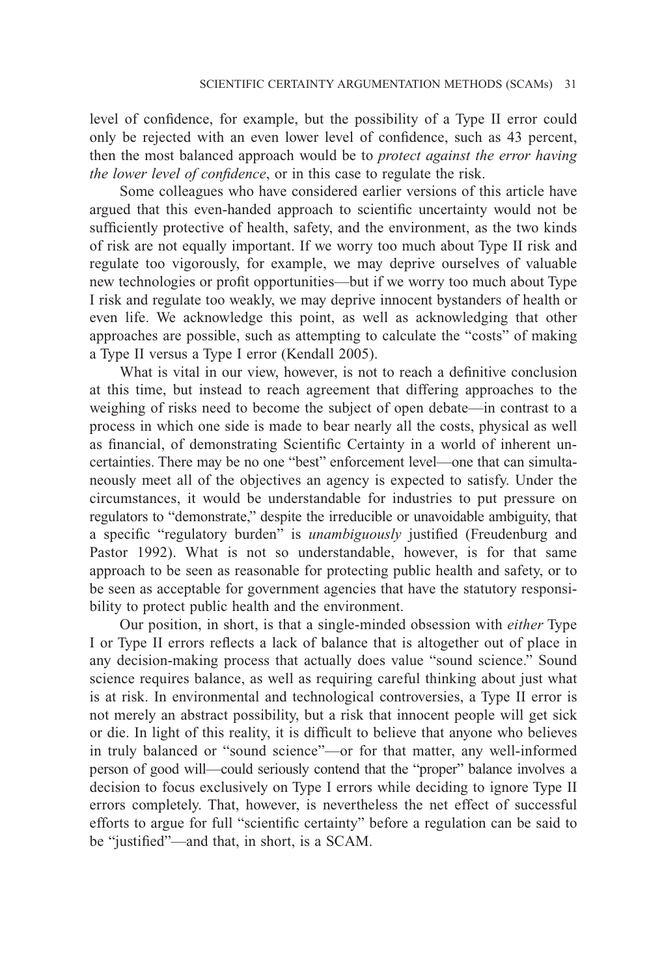level of confidence, for example, but the possibility of a Type II error could only be rejected with an even lower level of confidence, such as 43 percent, then the most balanced approach would be to *protect against the error having the lower level of confidence*, or in this case to regulate the risk.

Some colleagues who have considered earlier versions of this article have argued that this even-handed approach to scientific uncertainty would not be sufficiently protective of health, safety, and the environment, as the two kinds of risk are not equally important. If we worry too much about Type II risk and regulate too vigorously, for example, we may deprive ourselves of valuable new technologies or profit opportunities—but if we worry too much about Type I risk and regulate too weakly, we may deprive innocent bystanders of health or even life. We acknowledge this point, as well as acknowledging that other approaches are possible, such as attempting to calculate the "costs" of making a Type II versus a Type I error (Kendall 2005).

What is vital in our view, however, is not to reach a definitive conclusion at this time, but instead to reach agreement that differing approaches to the weighing of risks need to become the subject of open debate—in contrast to a process in which one side is made to bear nearly all the costs, physical as well as financial, of demonstrating Scientific Certainty in a world of inherent uncertainties. There may be no one "best" enforcement level—one that can simultaneously meet all of the objectives an agency is expected to satisfy. Under the circumstances, it would be understandable for industries to put pressure on regulators to "demonstrate," despite the irreducible or unavoidable ambiguity, that a specific "regulatory burden" is *unambiguously* justified (Freudenburg and Pastor 1992). What is not so understandable, however, is for that same approach to be seen as reasonable for protecting public health and safety, or to be seen as acceptable for government agencies that have the statutory responsibility to protect public health and the environment.

Our position, in short, is that a single-minded obsession with *either* Type I or Type II errors reflects a lack of balance that is altogether out of place in any decision-making process that actually does value "sound science." Sound science requires balance, as well as requiring careful thinking about just what is at risk. In environmental and technological controversies, a Type II error is not merely an abstract possibility, but a risk that innocent people will get sick or die. In light of this reality, it is difficult to believe that anyone who believes in truly balanced or "sound science"—or for that matter, any well-informed person of good will—could seriously contend that the "proper" balance involves a decision to focus exclusively on Type I errors while deciding to ignore Type II errors completely. That, however, is nevertheless the net effect of successful efforts to argue for full "scientific certainty" before a regulation can be said to be "justified"—and that, in short, is a SCAM.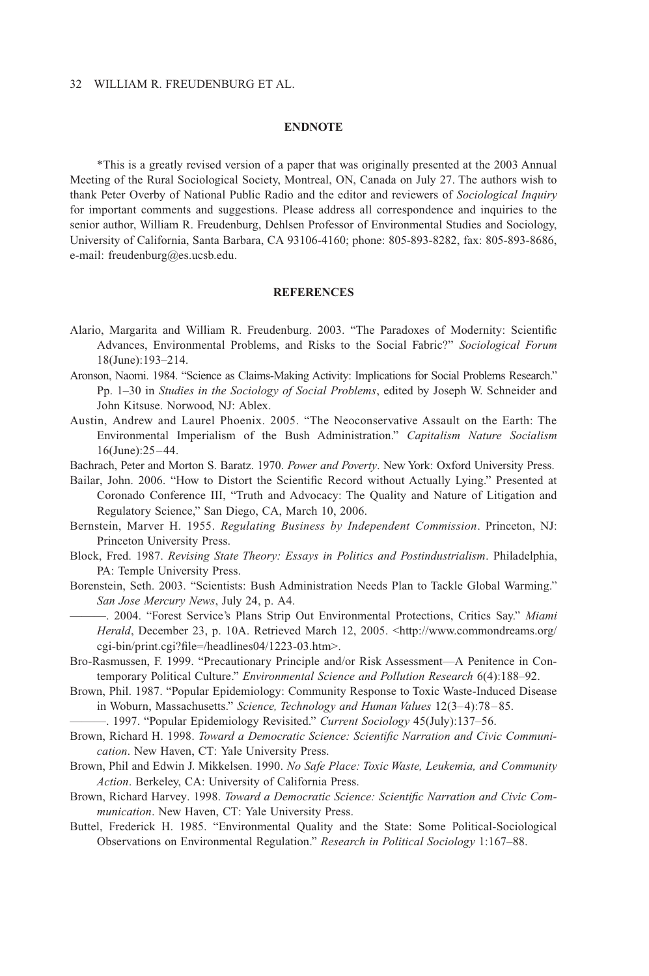#### **ENDNOTE**

\*This is a greatly revised version of a paper that was originally presented at the 2003 Annual Meeting of the Rural Sociological Society, Montreal, ON, Canada on July 27. The authors wish to thank Peter Overby of National Public Radio and the editor and reviewers of *Sociological Inquiry* for important comments and suggestions. Please address all correspondence and inquiries to the senior author, William R. Freudenburg, Dehlsen Professor of Environmental Studies and Sociology, University of California, Santa Barbara, CA 93106-4160; phone: 805-893-8282, fax: 805-893-8686, e-mail: freudenburg@es.ucsb.edu.

#### **REFERENCES**

- Alario, Margarita and William R. Freudenburg. 2003. "The Paradoxes of Modernity: Scientific Advances, Environmental Problems, and Risks to the Social Fabric?" *Sociological Forum* 18(June):193–214.
- Aronson, Naomi. 1984. "Science as Claims-Making Activity: Implications for Social Problems Research." Pp. 1–30 in *Studies in the Sociology of Social Problems*, edited by Joseph W. Schneider and John Kitsuse. Norwood, NJ: Ablex.
- Austin, Andrew and Laurel Phoenix. 2005. "The Neoconservative Assault on the Earth: The Environmental Imperialism of the Bush Administration." *Capitalism Nature Socialism* 16(June):25–44.

Bachrach, Peter and Morton S. Baratz. 1970. *Power and Poverty*. New York: Oxford University Press.

Bailar, John. 2006. "How to Distort the Scientific Record without Actually Lying." Presented at Coronado Conference III, "Truth and Advocacy: The Quality and Nature of Litigation and Regulatory Science," San Diego, CA, March 10, 2006.

- Bernstein, Marver H. 1955. *Regulating Business by Independent Commission*. Princeton, NJ: Princeton University Press.
- Block, Fred. 1987. *Revising State Theory: Essays in Politics and Postindustrialism*. Philadelphia, PA: Temple University Press.
- Borenstein, Seth. 2003. "Scientists: Bush Administration Needs Plan to Tackle Global Warming." *San Jose Mercury News*, July 24, p. A4.

———. 2004. "Forest Service's Plans Strip Out Environmental Protections, Critics Say." *Miami Herald*[, December 23, p. 10A. Retrieved March 12, 2005. <http://www.commondreams.org/](http://www.commondreams.org/cgi-bin/print.cgi?file=/headlines04/1223-03.htm) cgi-bin/print.cgi?file=/headlines04/1223-03.htm>.

- Bro-Rasmussen, F. 1999. "Precautionary Principle and/or Risk Assessment—A Penitence in Contemporary Political Culture." *Environmental Science and Pollution Research* 6(4):188–92.
- Brown, Phil. 1987. "Popular Epidemiology: Community Response to Toxic Waste-Induced Disease in Woburn, Massachusetts." *Science, Technology and Human Values* 12(3–4):78–85.
	- ———. 1997. "Popular Epidemiology Revisited." *Current Sociology* 45(July):137–56.
- Brown, Richard H. 1998. *Toward a Democratic Science: Scientific Narration and Civic Communication*. New Haven, CT: Yale University Press.
- Brown, Phil and Edwin J. Mikkelsen. 1990. *No Safe Place: Toxic Waste, Leukemia, and Community Action*. Berkeley, CA: University of California Press.
- Brown, Richard Harvey. 1998. *Toward a Democratic Science: Scientific Narration and Civic Communication*. New Haven, CT: Yale University Press.
- Buttel, Frederick H. 1985. "Environmental Quality and the State: Some Political-Sociological Observations on Environmental Regulation." *Research in Political Sociology* 1:167–88.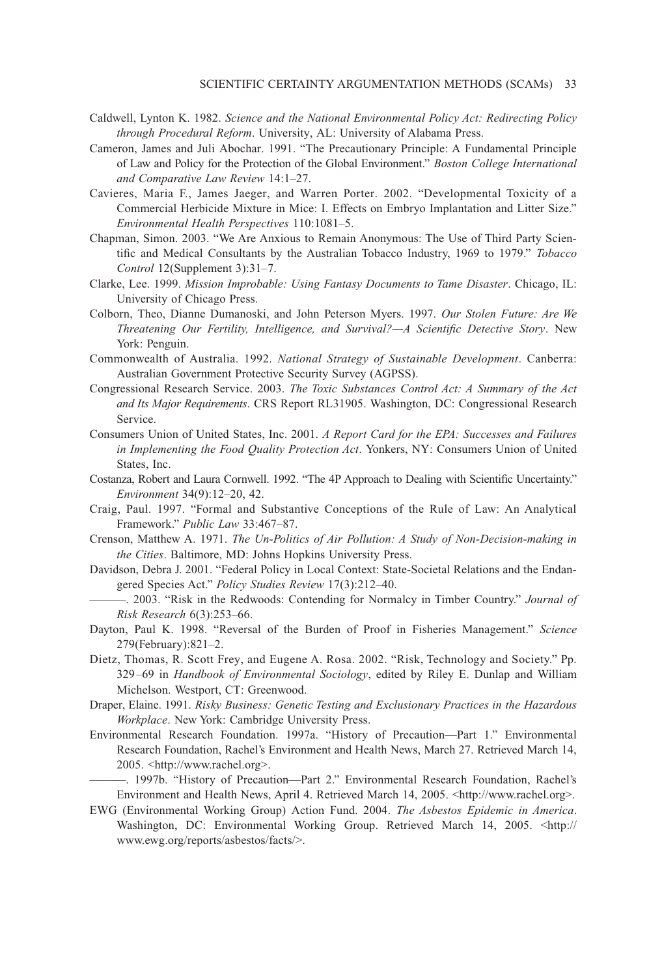- Caldwell, Lynton K. 1982. *Science and the National Environmental Policy Act: Redirecting Policy through Procedural Reform*. University, AL: University of Alabama Press.
- Cameron, James and Juli Abochar. 1991. "The Precautionary Principle: A Fundamental Principle of Law and Policy for the Protection of the Global Environment." *Boston College International and Comparative Law Review* 14:1–27.
- Cavieres, Maria F., James Jaeger, and Warren Porter. 2002. "Developmental Toxicity of a Commercial Herbicide Mixture in Mice: I. Effects on Embryo Implantation and Litter Size." *Environmental Health Perspectives* 110:1081–5.
- Chapman, Simon. 2003. "We Are Anxious to Remain Anonymous: The Use of Third Party Scientific and Medical Consultants by the Australian Tobacco Industry, 1969 to 1979." *Tobacco Control* 12(Supplement 3):31–7.
- Clarke, Lee. 1999. *Mission Improbable: Using Fantasy Documents to Tame Disaster*. Chicago, IL: University of Chicago Press.
- Colborn, Theo, Dianne Dumanoski, and John Peterson Myers. 1997. *Our Stolen Future: Are We Threatening Our Fertility, Intelligence, and Survival?—A Scientific Detective Story*. New York: Penguin.
- Commonwealth of Australia. 1992. *National Strategy of Sustainable Development*. Canberra: Australian Government Protective Security Survey (AGPSS).
- Congressional Research Service. 2003. *The Toxic Substances Control Act: A Summary of the Act and Its Major Requirements*. CRS Report RL31905. Washington, DC: Congressional Research Service.
- Consumers Union of United States, Inc. 2001. *A Report Card for the EPA: Successes and Failures in Implementing the Food Quality Protection Act*. Yonkers, NY: Consumers Union of United States, Inc.
- Costanza, Robert and Laura Cornwell. 1992. "The 4P Approach to Dealing with Scientific Uncertainty." *Environment* 34(9):12–20, 42.
- Craig, Paul. 1997. "Formal and Substantive Conceptions of the Rule of Law: An Analytical Framework." *Public Law* 33:467–87.
- Crenson, Matthew A. 1971. *The Un-Politics of Air Pollution: A Study of Non-Decision-making in the Cities*. Baltimore, MD: Johns Hopkins University Press.
- Davidson, Debra J. 2001. "Federal Policy in Local Context: State-Societal Relations and the Endangered Species Act." *Policy Studies Review* 17(3):212–40.
	- ———. 2003. "Risk in the Redwoods: Contending for Normalcy in Timber Country." *Journal of Risk Research* 6(3):253–66.
- Dayton, Paul K. 1998. "Reversal of the Burden of Proof in Fisheries Management." *Science* 279(February):821–2.
- Dietz, Thomas, R. Scott Frey, and Eugene A. Rosa. 2002. "Risk, Technology and Society." Pp. 329–69 in *Handbook of Environmental Sociology*, edited by Riley E. Dunlap and William Michelson. Westport, CT: Greenwood.
- Draper, Elaine. 1991. *Risky Business: Genetic Testing and Exclusionary Practices in the Hazardous Workplace*. New York: Cambridge University Press.
- Environmental Research Foundation. 1997a. "History of Precaution—Part 1." Environmental Research Foundation, Rachel's Environment and Health News, March 27. Retrieved March 14, 2005. [<http://www.rachel.org>.](http://www.rachel.org)
	- ———. 1997b. "History of Precaution—Part 2." Environmental Research Foundation, Rachel's Environment and Health News, April 4. Retrieved March 14, 2005. [<http://www.rachel.org>.](http://www.rachel.org)
- EWG (Environmental Working Group) Action Fund. 2004. *The Asbestos Epidemic in America*. [Washington, DC: Environmental Working Group. Retrieved March 14, 2005. <http://](http://www.ewg.org/reports/asbestos/facts/) www.ewg.org/reports/asbestos/facts/>.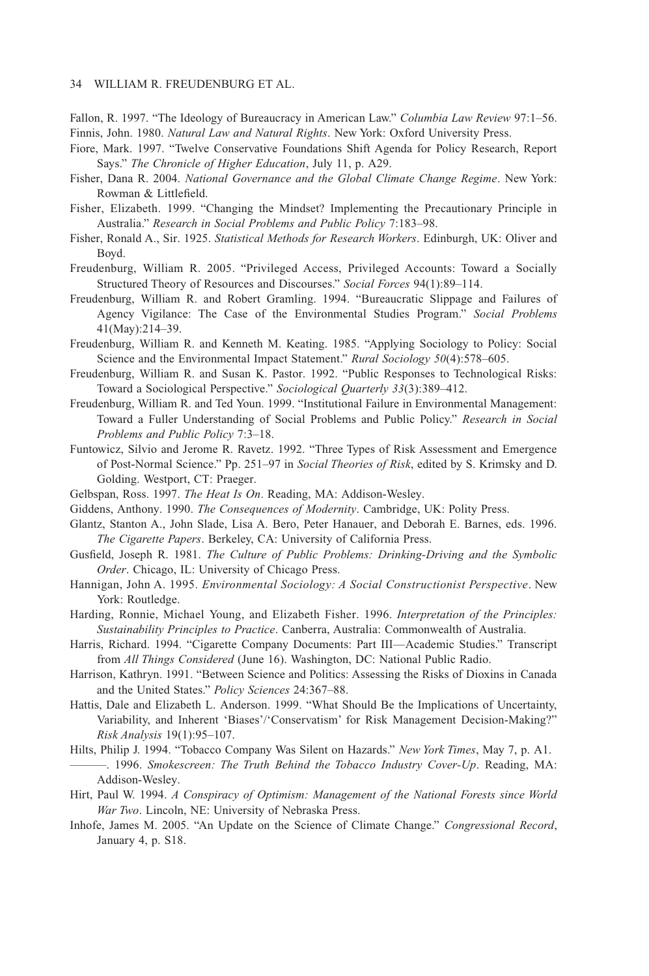- Fallon, R. 1997. "The Ideology of Bureaucracy in American Law." *Columbia Law Review* 97:1–56. Finnis, John. 1980. *Natural Law and Natural Rights*. New York: Oxford University Press.
- Fiore, Mark. 1997. "Twelve Conservative Foundations Shift Agenda for Policy Research, Report Says." *The Chronicle of Higher Education*, July 11, p. A29.
- Fisher, Dana R. 2004. *National Governance and the Global Climate Change Regime*. New York: Rowman & Littlefield.
- Fisher, Elizabeth. 1999. "Changing the Mindset? Implementing the Precautionary Principle in Australia." *Research in Social Problems and Public Policy* 7:183–98.
- Fisher, Ronald A., Sir. 1925. *Statistical Methods for Research Workers*. Edinburgh, UK: Oliver and Boyd.
- Freudenburg, William R. 2005. "Privileged Access, Privileged Accounts: Toward a Socially Structured Theory of Resources and Discourses." *Social Forces* 94(1):89–114.
- Freudenburg, William R. and Robert Gramling. 1994. "Bureaucratic Slippage and Failures of Agency Vigilance: The Case of the Environmental Studies Program." *Social Problems* 41(May):214–39.
- Freudenburg, William R. and Kenneth M. Keating. 1985. "Applying Sociology to Policy: Social Science and the Environmental Impact Statement." *Rural Sociology 50*(4):578–605.
- Freudenburg, William R. and Susan K. Pastor. 1992. "Public Responses to Technological Risks: Toward a Sociological Perspective." *Sociological Quarterly 33*(3):389–412.
- Freudenburg, William R. and Ted Youn. 1999. "Institutional Failure in Environmental Management: Toward a Fuller Understanding of Social Problems and Public Policy." *Research in Social Problems and Public Policy* 7:3–18.
- Funtowicz, Silvio and Jerome R. Ravetz. 1992. "Three Types of Risk Assessment and Emergence of Post-Normal Science." Pp. 251–97 in *Social Theories of Risk*, edited by S. Krimsky and D. Golding. Westport, CT: Praeger.
- Gelbspan, Ross. 1997. *The Heat Is On*. Reading, MA: Addison-Wesley.
- Giddens, Anthony. 1990. *The Consequences of Modernity*. Cambridge, UK: Polity Press.
- Glantz, Stanton A., John Slade, Lisa A. Bero, Peter Hanauer, and Deborah E. Barnes, eds. 1996. *The Cigarette Papers*. Berkeley, CA: University of California Press.
- Gusfield, Joseph R. 1981. *The Culture of Public Problems: Drinking-Driving and the Symbolic Order*. Chicago, IL: University of Chicago Press.
- Hannigan, John A. 1995. *Environmental Sociology: A Social Constructionist Perspective*. New York: Routledge.
- Harding, Ronnie, Michael Young, and Elizabeth Fisher. 1996. *Interpretation of the Principles: Sustainability Principles to Practice*. Canberra, Australia: Commonwealth of Australia.
- Harris, Richard. 1994. "Cigarette Company Documents: Part III—Academic Studies." Transcript from *All Things Considered* (June 16). Washington, DC: National Public Radio.
- Harrison, Kathryn. 1991. "Between Science and Politics: Assessing the Risks of Dioxins in Canada and the United States." *Policy Sciences* 24:367–88.
- Hattis, Dale and Elizabeth L. Anderson. 1999. "What Should Be the Implications of Uncertainty, Variability, and Inherent 'Biases'/'Conservatism' for Risk Management Decision-Making?" *Risk Analysis* 19(1):95–107.
- Hilts, Philip J. 1994. "Tobacco Company Was Silent on Hazards." *New York Times*, May 7, p. A1. ———. 1996. *Smokescreen: The Truth Behind the Tobacco Industry Cover-Up*. Reading, MA: Addison-Wesley.
- Hirt, Paul W. 1994. *A Conspiracy of Optimism: Management of the National Forests since World War Two*. Lincoln, NE: University of Nebraska Press.
- Inhofe, James M. 2005. "An Update on the Science of Climate Change." *Congressional Record*, January 4, p. S18.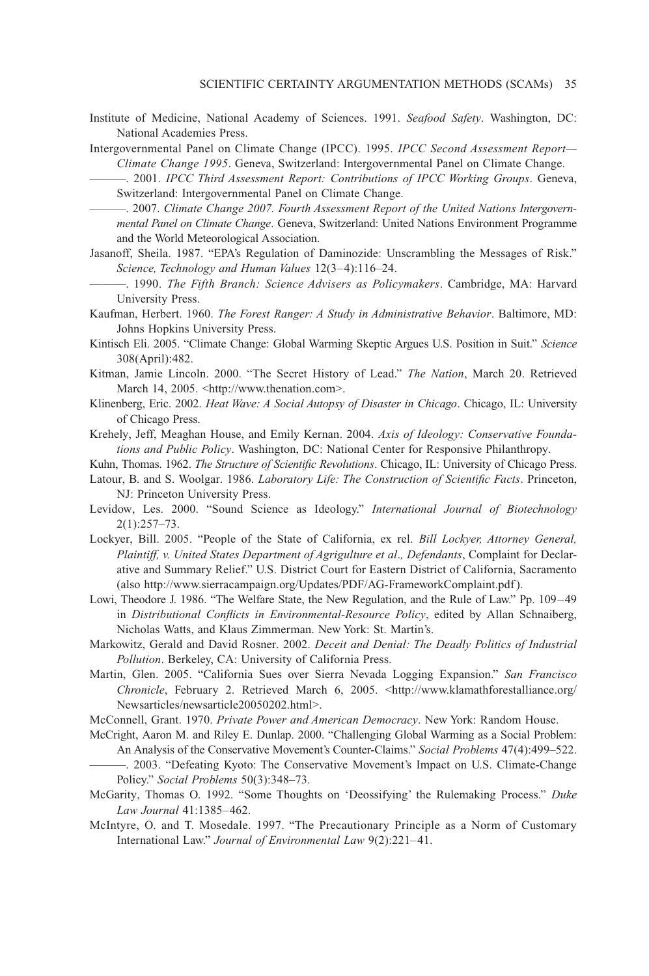- Institute of Medicine, National Academy of Sciences. 1991. *Seafood Safety*. Washington, DC: National Academies Press.
- Intergovernmental Panel on Climate Change (IPCC). 1995. *IPCC Second Assessment Report— Climate Change 1995*. Geneva, Switzerland: Intergovernmental Panel on Climate Change.
	- ———. 2001. *IPCC Third Assessment Report: Contributions of IPCC Working Groups*. Geneva, Switzerland: Intergovernmental Panel on Climate Change.
	- ———. 2007. *Climate Change 2007. Fourth Assessment Report of the United Nations Intergovernmental Panel on Climate Change*. Geneva, Switzerland: United Nations Environment Programme and the World Meteorological Association.
- Jasanoff, Sheila. 1987. "EPA's Regulation of Daminozide: Unscrambling the Messages of Risk." *Science, Technology and Human Values* 12(3–4):116–24.
- ———. 1990. *The Fifth Branch: Science Advisers as Policymakers*. Cambridge, MA: Harvard University Press.
- Kaufman, Herbert. 1960. *The Forest Ranger: A Study in Administrative Behavior*. Baltimore, MD: Johns Hopkins University Press.
- Kintisch Eli. 2005. "Climate Change: Global Warming Skeptic Argues U.S. Position in Suit." *Science* 308(April):482.
- Kitman, Jamie Lincoln. 2000. "The Secret History of Lead." *The Nation*, March 20. Retrieved March 14, 2005. [<http://www.thenation.com>.](http://www.thenation.com)
- Klinenberg, Eric. 2002. *Heat Wave: A Social Autopsy of Disaster in Chicago*. Chicago, IL: University of Chicago Press.
- Krehely, Jeff, Meaghan House, and Emily Kernan. 2004. *Axis of Ideology: Conservative Foundations and Public Policy*. Washington, DC: National Center for Responsive Philanthropy.
- Kuhn, Thomas. 1962. *The Structure of Scientific Revolutions*. Chicago, IL: University of Chicago Press.
- Latour, B. and S. Woolgar. 1986. *Laboratory Life: The Construction of Scientific Facts*. Princeton, NJ: Princeton University Press.
- Levidow, Les. 2000. "Sound Science as Ideology." *International Journal of Biotechnology* 2(1):257–73.
- Lockyer, Bill. 2005. "People of the State of California, ex rel. *Bill Lockyer, Attorney General, Plaintiff, v. United States Department of Agrigulture et al*.*, Defendants*, Complaint for Declarative and Summary Relief." U.S. District Court for Eastern District of California, Sacramento (also <http://www.sierracampaign.org/Updates/PDF/AG-FrameworkComplaint.pdf> ).
- Lowi, Theodore J. 1986. "The Welfare State, the New Regulation, and the Rule of Law." Pp. 109–49 in *Distributional Conflicts in Environmental-Resource Policy*, edited by Allan Schnaiberg, Nicholas Watts, and Klaus Zimmerman. New York: St. Martin's.
- Markowitz, Gerald and David Rosner. 2002. *Deceit and Denial: The Deadly Politics of Industrial Pollution*. Berkeley, CA: University of California Press.
- Martin, Glen. 2005. "California Sues over Sierra Nevada Logging Expansion." *San Francisco Chronicle*[, February 2. Retrieved March 6, 2005. <http://www.klamathforestalliance.org/](http://www.klamathforestalliance.org/Newsarticles/newsarticle20050202.html) Newsarticles/newsarticle20050202.html>.
- McConnell, Grant. 1970. *Private Power and American Democracy*. New York: Random House.
- McCright, Aaron M. and Riley E. Dunlap. 2000. "Challenging Global Warming as a Social Problem: An Analysis of the Conservative Movement's Counter-Claims." *Social Problems* 47(4):499–522. ———. 2003. "Defeating Kyoto: The Conservative Movement's Impact on U.S. Climate-Change Policy." *Social Problems* 50(3):348–73.
- McGarity, Thomas O. 1992. "Some Thoughts on 'Deossifying' the Rulemaking Process." *Duke Law Journal* 41:1385–462.
- McIntyre, O. and T. Mosedale. 1997. "The Precautionary Principle as a Norm of Customary International Law." *Journal of Environmental Law* 9(2):221–41.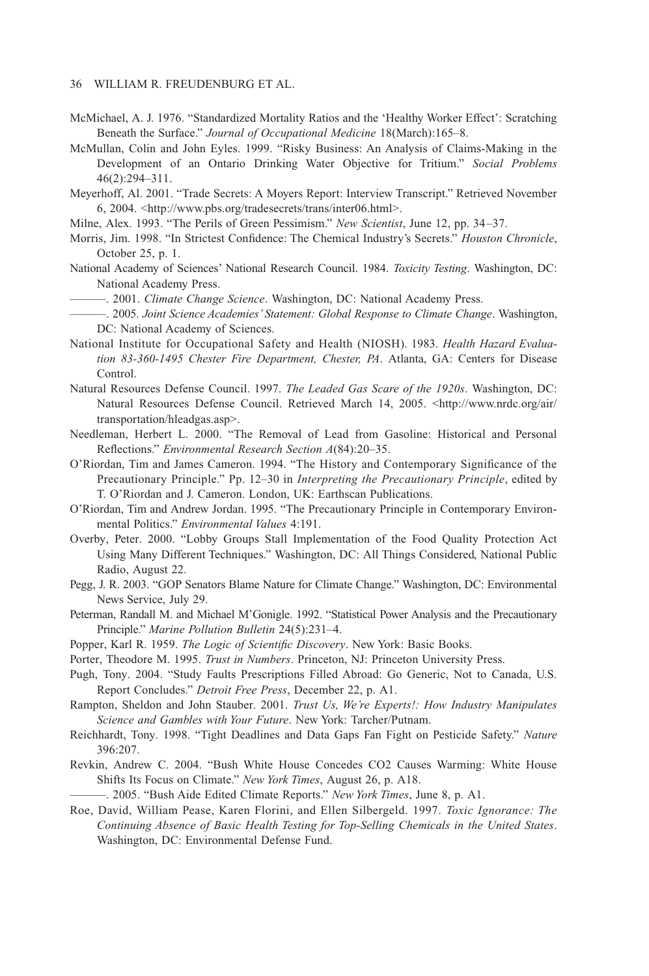- McMichael, A. J. 1976. "Standardized Mortality Ratios and the 'Healthy Worker Effect': Scratching Beneath the Surface." *Journal of Occupational Medicine* 18(March):165–8.
- McMullan, Colin and John Eyles. 1999. "Risky Business: An Analysis of Claims-Making in the Development of an Ontario Drinking Water Objective for Tritium." *Social Problems* 46(2):294–311.
- Meyerhoff, Al. 2001. "Trade Secrets: A Moyers Report: Interview Transcript." Retrieved November 6, 2004. [<http://www.pbs.org/tradesecrets/trans/inter06.html>.](http://www.pbs.org/tradesecrets/trans/inter06.html)
- Milne, Alex. 1993. "The Perils of Green Pessimism." *New Scientist*, June 12, pp. 34–37.
- Morris, Jim. 1998. "In Strictest Confidence: The Chemical Industry's Secrets." *Houston Chronicle*, October 25, p. 1.
- National Academy of Sciences' National Research Council. 1984. *Toxicity Testing*. Washington, DC: National Academy Press.
	- ———. 2001. *Climate Change Science*. Washington, DC: National Academy Press.
- ———. 2005. *Joint Science Academies' Statement: Global Response to Climate Change*. Washington, DC: National Academy of Sciences.
- National Institute for Occupational Safety and Health (NIOSH). 1983. *Health Hazard Evaluation 83-360-1495 Chester Fire Department, Chester, PA*. Atlanta, GA: Centers for Disease Control.
- Natural Resources Defense Council. 1997. *The Leaded Gas Scare of the 1920s*. Washington, DC: [Natural Resources Defense Council. Retrieved March 14, 2005. <http://www.nrdc.org/air/](http://www.nrdc.org/air/transportation/hleadgas.asp) transportation/hleadgas.asp>.
- Needleman, Herbert L. 2000. "The Removal of Lead from Gasoline: Historical and Personal Reflections." *Environmental Research Section A*(84):20–35.
- O'Riordan, Tim and James Cameron. 1994. "The History and Contemporary Significance of the Precautionary Principle." Pp. 12–30 in *Interpreting the Precautionary Principle*, edited by T. O'Riordan and J. Cameron. London, UK: Earthscan Publications.
- O'Riordan, Tim and Andrew Jordan. 1995. "The Precautionary Principle in Contemporary Environmental Politics." *Environmental Values* 4:191.
- Overby, Peter. 2000. "Lobby Groups Stall Implementation of the Food Quality Protection Act Using Many Different Techniques." Washington, DC: All Things Considered, National Public Radio, August 22.
- Pegg, J. R. 2003. "GOP Senators Blame Nature for Climate Change." Washington, DC: Environmental News Service, July 29.
- Peterman, Randall M. and Michael M'Gonigle. 1992. "Statistical Power Analysis and the Precautionary Principle." *Marine Pollution Bulletin* 24(5):231–4.
- Popper, Karl R. 1959. *The Logic of Scientific Discovery*. New York: Basic Books.
- Porter, Theodore M. 1995. *Trust in Numbers*. Princeton, NJ: Princeton University Press.
- Pugh, Tony. 2004. "Study Faults Prescriptions Filled Abroad: Go Generic, Not to Canada, U.S. Report Concludes." *Detroit Free Press*, December 22, p. A1.
- Rampton, Sheldon and John Stauber. 2001. *Trust Us, We're Experts!: How Industry Manipulates Science and Gambles with Your Future*. New York: Tarcher/Putnam.
- Reichhardt, Tony. 1998. "Tight Deadlines and Data Gaps Fan Fight on Pesticide Safety." *Nature* 396:207.
- Revkin, Andrew C. 2004. "Bush White House Concedes CO2 Causes Warming: White House Shifts Its Focus on Climate." *New York Times*, August 26, p. A18.
	- ———. 2005. "Bush Aide Edited Climate Reports." *New York Times*, June 8, p. A1.
- Roe, David, William Pease, Karen Florini, and Ellen Silbergeld. 1997. *Toxic Ignorance: The Continuing Absence of Basic Health Testing for Top-Selling Chemicals in the United States*. Washington, DC: Environmental Defense Fund.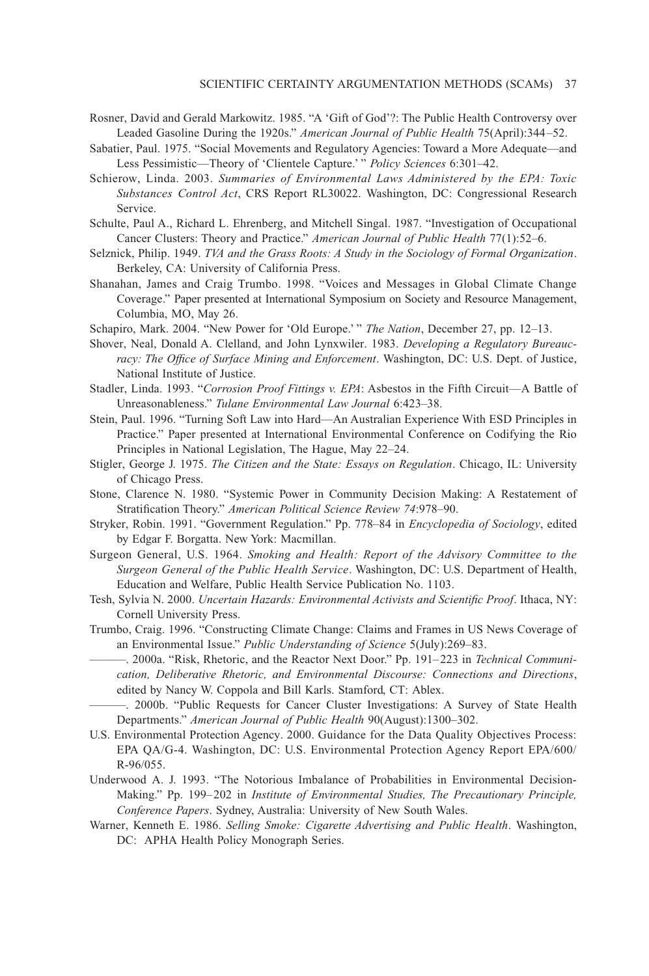- Rosner, David and Gerald Markowitz. 1985. "A 'Gift of God'?: The Public Health Controversy over Leaded Gasoline During the 1920s." *American Journal of Public Health* 75(April):344–52.
- Sabatier, Paul. 1975. "Social Movements and Regulatory Agencies: Toward a More Adequate—and Less Pessimistic—Theory of 'Clientele Capture.' " *Policy Sciences* 6:301–42.
- Schierow, Linda. 2003. *Summaries of Environmental Laws Administered by the EPA: Toxic Substances Control Act*, CRS Report RL30022. Washington, DC: Congressional Research Service.
- Schulte, Paul A., Richard L. Ehrenberg, and Mitchell Singal. 1987. "Investigation of Occupational Cancer Clusters: Theory and Practice." *American Journal of Public Health* 77(1):52–6.
- Selznick, Philip. 1949. *TVA and the Grass Roots: A Study in the Sociology of Formal Organization*. Berkeley, CA: University of California Press.
- Shanahan, James and Craig Trumbo. 1998. "Voices and Messages in Global Climate Change Coverage." Paper presented at International Symposium on Society and Resource Management, Columbia, MO, May 26.
- Schapiro, Mark. 2004. "New Power for 'Old Europe.' " *The Nation*, December 27, pp. 12–13.
- Shover, Neal, Donald A. Clelland, and John Lynxwiler. 1983. *Developing a Regulatory Bureaucracy: The Office of Surface Mining and Enforcement*. Washington, DC: U.S. Dept. of Justice, National Institute of Justice.
- Stadler, Linda. 1993. "*Corrosion Proof Fittings v. EPA*: Asbestos in the Fifth Circuit—A Battle of Unreasonableness." *Tulane Environmental Law Journal* 6:423–38.
- Stein, Paul. 1996. "Turning Soft Law into Hard—An Australian Experience With ESD Principles in Practice." Paper presented at International Environmental Conference on Codifying the Rio Principles in National Legislation, The Hague, May 22–24.
- Stigler, George J. 1975. *The Citizen and the State: Essays on Regulation*. Chicago, IL: University of Chicago Press.
- Stone, Clarence N. 1980. "Systemic Power in Community Decision Making: A Restatement of Stratification Theory." *American Political Science Review 74*:978–90.
- Stryker, Robin. 1991. "Government Regulation." Pp. 778–84 in *Encyclopedia of Sociology*, edited by Edgar F. Borgatta. New York: Macmillan.
- Surgeon General, U.S. 1964. *Smoking and Health: Report of the Advisory Committee to the Surgeon General of the Public Health Service*. Washington, DC: U.S. Department of Health, Education and Welfare, Public Health Service Publication No. 1103.
- Tesh, Sylvia N. 2000. *Uncertain Hazards: Environmental Activists and Scientific Proof*. Ithaca, NY: Cornell University Press.
- Trumbo, Craig. 1996. "Constructing Climate Change: Claims and Frames in US News Coverage of an Environmental Issue." *Public Understanding of Science* 5(July):269–83.
- ———. 2000a. "Risk, Rhetoric, and the Reactor Next Door." Pp. 191–223 in *Technical Communication, Deliberative Rhetoric, and Environmental Discourse: Connections and Directions*, edited by Nancy W. Coppola and Bill Karls. Stamford, CT: Ablex.
- ———. 2000b. "Public Requests for Cancer Cluster Investigations: A Survey of State Health Departments." *American Journal of Public Health* 90(August):1300–302.
- U.S. Environmental Protection Agency. 2000. Guidance for the Data Quality Objectives Process: EPA QA/G-4. Washington, DC: U.S. Environmental Protection Agency Report EPA/600/ R-96/055.
- Underwood A. J. 1993. "The Notorious Imbalance of Probabilities in Environmental Decision-Making." Pp. 199–202 in *Institute of Environmental Studies, The Precautionary Principle, Conference Papers*. Sydney, Australia: University of New South Wales.
- Warner, Kenneth E. 1986. *Selling Smoke: Cigarette Advertising and Public Health*. Washington, DC: APHA Health Policy Monograph Series.